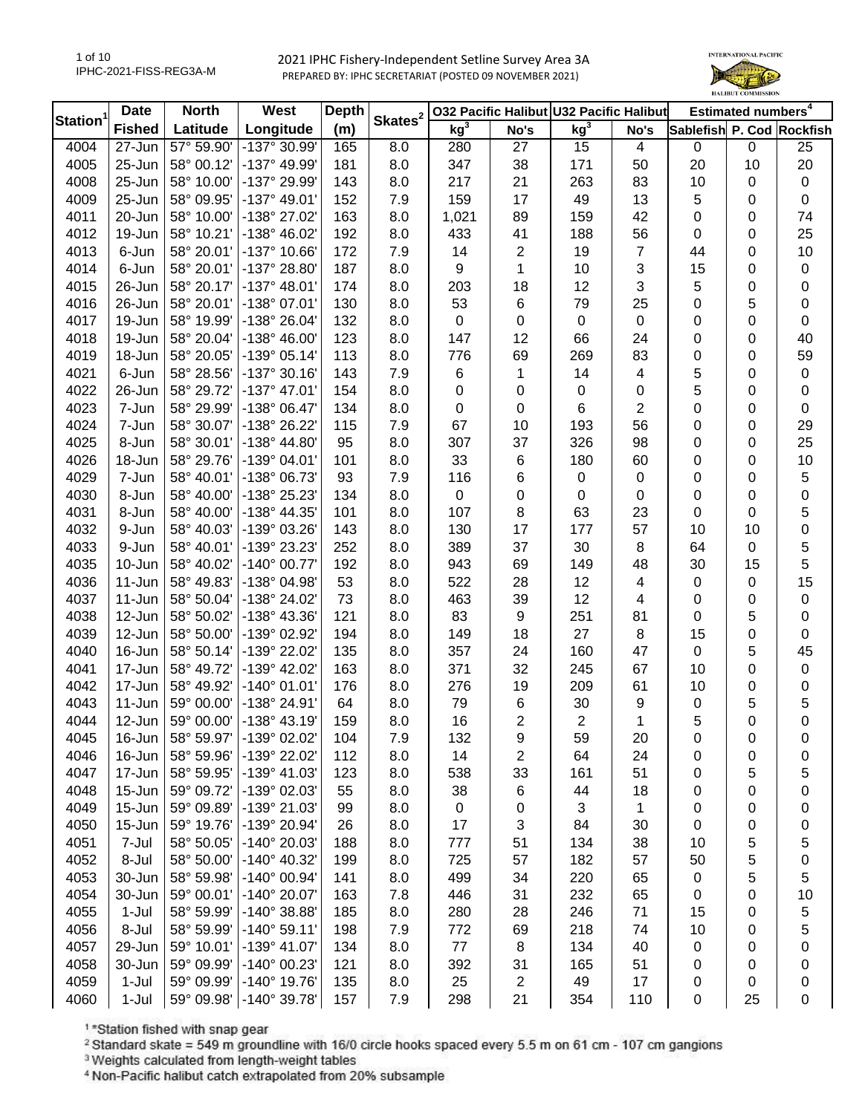1 of 10 IPHC-2021-FISS-REG3A-M



| Station <sup>1</sup> | <b>Date</b>   | <b>North</b> | West                         | <b>Depth</b> | Skates <sup>2</sup> |                  |                | 032 Pacific Halibut U32 Pacific Halibut |          |                           | Estimated numbers <sup>4</sup> |                  |
|----------------------|---------------|--------------|------------------------------|--------------|---------------------|------------------|----------------|-----------------------------------------|----------|---------------------------|--------------------------------|------------------|
|                      | <b>Fished</b> | Latitude     | Longitude                    | (m)          |                     | kg <sup>3</sup>  | No's           | kg <sup>3</sup>                         | No's     | Sablefish P. Cod Rockfish |                                |                  |
| 4004                 | 27-Jun        | 57° 59.90'   | $-137^{\circ}30.99'$         | 165          | 8.0                 | 280              | 27             | 15                                      | 4        | $\mathbf 0$               | 0                              | 25               |
| 4005                 | 25-Jun        | 58° 00.12'   | -137° 49.99'                 | 181          | 8.0                 | 347              | 38             | 171                                     | 50       | 20                        | 10                             | 20               |
| 4008                 | 25-Jun        | 58° 10.00'   | -137° 29.99'                 | 143          | 8.0                 | 217              | 21             | 263                                     | 83       | 10                        | 0                              | $\pmb{0}$        |
| 4009                 | 25-Jun        | 58° 09.95'   | $-137^{\circ}$ 49.01'        | 152          | 7.9                 | 159              | 17             | 49                                      | 13       | 5                         | $\boldsymbol{0}$               | $\pmb{0}$        |
| 4011                 | 20-Jun        | 58° 10.00'   | -138° 27.02'                 | 163          | 8.0                 | 1,021            | 89             | 159                                     | 42       | 0                         | 0                              | 74               |
| 4012                 | 19-Jun        | 58° 10.21'   | $-138^{\circ}$ 46.02'        | 192          | 8.0                 | 433              | 41             | 188                                     | 56       | 0                         | 0                              | 25               |
| 4013                 | 6-Jun         | 58° 20.01'   | -137° 10.66'                 | 172          | 7.9                 | 14               | $\overline{2}$ | 19                                      | 7        | 44                        | 0                              | 10               |
| 4014                 | 6-Jun         | 58° 20.01'   | -137° 28.80'                 | 187          | 8.0                 | 9                | 1              | 10                                      | 3        | 15                        | $\boldsymbol{0}$               | $\pmb{0}$        |
| 4015                 | 26-Jun        | 58° 20.17'   | $-137^{\circ}$ 48.01'        | 174          | 8.0                 | 203              | 18             | 12                                      | 3        | 5                         | 0                              | 0                |
| 4016                 | 26-Jun        | 58° 20.01'   | -138° 07.01'                 | 130          | 8.0                 | 53               | 6              | 79                                      | 25       | 0                         | 5                              | 0                |
| 4017                 | 19-Jun        | 58° 19.99'   | -138° 26.04'                 | 132          | 8.0                 | 0                | 0              | $\pmb{0}$                               | 0        | 0                         | $\boldsymbol{0}$               | $\mathbf 0$      |
| 4018                 | 19-Jun        | 58° 20.04'   | $-138^{\circ}$ 46.00'        | 123          | 8.0                 | 147              | 12             | 66                                      | 24       | 0                         | $\boldsymbol{0}$               | 40               |
| 4019                 | 18-Jun        | 58° 20.05'   | $-139°05.14'$                | 113          | 8.0                 | 776              | 69             | 269                                     | 83       | 0                         | $\boldsymbol{0}$               | 59               |
| 4021                 | 6-Jun         | 58° 28.56'   | $-137°30.16'$                | 143          | 7.9                 | $\,6$            | 1              | 14                                      | 4        | 5                         | $\boldsymbol{0}$               | $\pmb{0}$        |
| 4022                 | 26-Jun        | 58° 29.72'   | $-137^{\circ}$ 47.01'        | 154          | 8.0                 | $\boldsymbol{0}$ | 0              | 0                                       | 0        | 5                         | $\boldsymbol{0}$               | $\pmb{0}$        |
| 4023                 | 7-Jun         | 58° 29.99'   | -138° 06.47'                 | 134          | 8.0                 | $\boldsymbol{0}$ | 0              | 6                                       | 2        | 0                         | $\boldsymbol{0}$               | $\mathbf 0$      |
| 4024                 | 7-Jun         | 58° 30.07'   | -138° 26.22'                 | 115          | 7.9                 | 67               | 10             | 193                                     | 56       | 0                         | 0                              | 29               |
| 4025                 | 8-Jun         | 58° 30.01'   | $-138^\circ 44.80'$          | 95           | 8.0                 | 307              | 37             | 326                                     | 98       | 0                         | 0                              | 25               |
| 4026                 | 18-Jun        | 58° 29.76'   | -139° 04.01'                 | 101          | 8.0                 | 33               | 6              | 180                                     | 60       | 0                         | 0                              | 10               |
| 4029                 | 7-Jun         | 58° 40.01'   | -138° 06.73'                 | 93           | 7.9                 | 116              | 6              | 0                                       | 0        | 0                         | $\mathbf 0$                    | 5                |
| 4030                 | 8-Jun         | 58° 40.00'   | -138° 25.23'                 | 134          | 8.0                 | 0                | 0              | 0                                       | 0        | 0                         | 0                              | 0                |
| 4031                 | 8-Jun         | 58° 40.00'   | -138° 44.35'                 | 101          | 8.0                 | 107              | 8              | 63                                      | 23       | 0                         | 0                              | 5                |
| 4032                 | 9-Jun         | 58° 40.03'   | -139° 03.26'                 | 143          | 8.0                 | 130              | 17             | 177                                     | 57       | 10                        | 10                             | 0                |
| 4033                 | 9-Jun         | 58° 40.01'   | -139° 23.23'                 | 252          | 8.0                 | 389              | 37             | 30                                      | 8        | 64                        | $\mathbf 0$                    | 5                |
| 4035                 | 10-Jun        | 58° 40.02'   | $-140^{\circ}$ 00.77'        | 192          | 8.0                 | 943              | 69             | 149                                     | 48       | 30                        | 15                             | 5                |
| 4036                 | 11-Jun        | 58° 49.83'   | -138° 04.98'                 | 53           | 8.0                 | 522              | 28             | 12                                      | 4        | $\pmb{0}$                 | $\boldsymbol{0}$               | 15               |
| 4037                 | 11-Jun        | 58° 50.04'   | -138° 24.02'                 | 73           | 8.0                 | 463              | 39             | 12                                      | 4        | 0                         | 0                              | $\pmb{0}$        |
| 4038                 | 12-Jun        | 58° 50.02'   | -138° 43.36'                 | 121          | 8.0                 | 83               | 9              | 251                                     | 81       | 0                         | 5                              | $\pmb{0}$        |
| 4039                 | 12-Jun        | 58° 50.00'   | -139° 02.92'                 | 194          | 8.0                 | 149              | 18             | 27                                      | 8        | 15                        | $\boldsymbol{0}$               | $\pmb{0}$        |
| 4040                 | 16-Jun        | 58° 50.14'   | -139° 22.02'                 | 135          | 8.0                 | 357              | 24             | 160                                     | 47       | $\mathbf 0$               | 5                              | 45               |
| 4041                 | 17-Jun        | 58° 49.72'   | -139° 42.02'                 | 163          | 8.0                 | 371              | 32             | 245                                     | 67       | 10                        | $\boldsymbol{0}$               | $\pmb{0}$        |
| 4042                 | 17-Jun        | 58° 49.92'   | $-140^{\circ}$ 01.01'        | 176          | 8.0                 | 276              | 19             | 209                                     | 61       | 10                        | $\boldsymbol{0}$               | $\pmb{0}$        |
| 4043                 | 11-Jun        | 59° 00.00'   | -138° 24.91'                 | 64           | 8.0                 | 79               | 6              | 30                                      | 9        | $\pmb{0}$                 | 5                              | 5                |
| 4044                 | 12-Jun        | 59° 00.00'   | $-138°$ 43.19                | 159          | 8.0                 | 16               | 2              | $\overline{c}$                          | 1        | 5                         | $\mathbf 0$                    | $\boldsymbol{0}$ |
| 4045                 | 16-Jun        | 58° 59.97'   | $-139^{\circ}$ 02.02         | 104          |                     |                  |                | 59                                      |          |                           |                                |                  |
| 4046                 | 16-Jun        | 58° 59.96'   | -139° 22.02'                 | 112          | 7.9<br>8.0          | 132<br>14        | 9<br>2         | 64                                      | 20<br>24 | 0<br>0                    | 0<br>0                         | 0<br>0           |
| 4047                 | 17-Jun        | 58° 59.95'   | -139° 41.03'                 | 123          | 8.0                 | 538              |                | 161                                     | 51       |                           |                                |                  |
|                      | 15-Jun        | 59° 09.72'   |                              |              |                     |                  | 33             |                                         |          | 0                         | 5                              | 5                |
| 4048                 | 15-Jun        | 59° 09.89'   | -139° 02.03'<br>-139° 21.03' | 55           | 8.0                 | 38               | 6              | 44                                      | 18       | 0                         | 0                              | 0                |
| 4049                 |               |              |                              | 99           | 8.0                 | 0                | 0              | 3                                       | 1        | 0                         | 0                              | 0                |
| 4050                 | 15-Jun        | 59° 19.76'   | -139° 20.94'                 | 26           | 8.0                 | 17               | 3              | 84                                      | 30       | 0                         | 0                              | 0                |
| 4051                 | 7-Jul         | 58° 50.05'   | -140° 20.03'                 | 188          | 8.0                 | 777              | 51             | 134                                     | 38       | 10                        | 5                              | 5                |
| 4052                 | 8-Jul         | 58° 50.00'   | -140° 40.32'                 | 199          | 8.0                 | 725              | 57             | 182                                     | 57       | 50                        | 5                              | 0                |
| 4053                 | 30-Jun        | 58° 59.98'   | -140° 00.94'                 | 141          | 8.0                 | 499              | 34             | 220                                     | 65       | 0                         | 5                              | 5                |
| 4054                 | 30-Jun        | 59° 00.01'   | -140° 20.07'                 | 163          | 7.8                 | 446              | 31             | 232                                     | 65       | 0                         | 0                              | 10               |
| 4055                 | 1-Jul         | 58° 59.99'   | -140° 38.88'                 | 185          | 8.0                 | 280              | 28             | 246                                     | 71       | 15                        | 0                              | 5                |
| 4056                 | 8-Jul         | 58° 59.99'   | $-140^{\circ} 59.11'$        | 198          | 7.9                 | 772              | 69             | 218                                     | 74       | 10                        | 0                              | 5                |
| 4057                 | 29-Jun        | 59° 10.01'   | -139° 41.07'                 | 134          | 8.0                 | $77 \,$          | 8              | 134                                     | 40       | 0                         | 0                              | 0                |
| 4058                 | 30-Jun        | 59° 09.99'   | $-140^{\circ}$ 00.23'        | 121          | 8.0                 | 392              | 31             | 165                                     | 51       | 0                         | 0                              | 0                |
| 4059                 | $1-Jul$       | 59° 09.99'   | $-140^{\circ}$ 19.76'        | 135          | 8.0                 | 25               | 2              | 49                                      | 17       | 0                         | 0                              | 0                |
| 4060                 | $1-Jul$       | 59° 09.98'   | -140° 39.78'                 | 157          | 7.9                 | 298              | 21             | 354                                     | 110      | 0                         | 25                             | 0                |

1\*Station fished with snap gear

<sup>2</sup> Standard skate = 549 m groundline with 16/0 circle hooks spaced every 5.5 m on 61 cm - 107 cm gangions

<sup>3</sup> Weights calculated from length-weight tables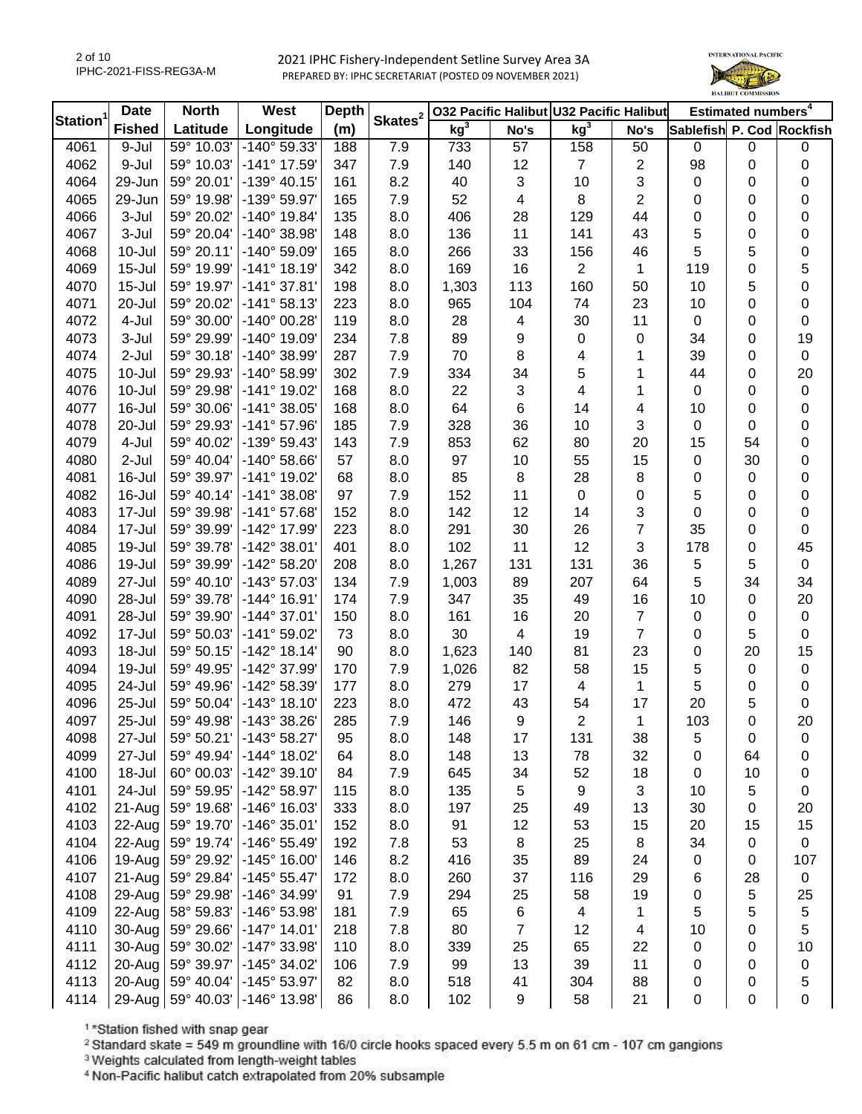2 of 10 IPHC-2021-FISS-REG3A-M



| <b>Station</b> | <b>Date</b>   | <b>North</b>        | West                  | <b>Depth</b> | Skates <sup>2</sup> |                 |                | 032 Pacific Halibut U32 Pacific Halibut |                         |                           | Estimated numbers <sup>4</sup> |                  |
|----------------|---------------|---------------------|-----------------------|--------------|---------------------|-----------------|----------------|-----------------------------------------|-------------------------|---------------------------|--------------------------------|------------------|
|                | <b>Fished</b> | Latitude            | Longitude             | (m)          |                     | kg <sup>3</sup> | No's           | kg <sup>3</sup>                         | No's                    | Sablefish P. Cod Rockfish |                                |                  |
| 4061           | 9-Jul         | 59° 10.03'          | -140° 59.33'          | 188          | 7.9                 | 733             | 57             | 158                                     | 50                      | $\mathbf 0$               | $\boldsymbol{0}$               | 0                |
| 4062           | 9-Jul         | 59° 10.03'          | -141° 17.59'          | 347          | 7.9                 | 140             | 12             | $\overline{7}$                          | 2                       | 98                        | $\boldsymbol{0}$               | 0                |
| 4064           | 29-Jun        | 59° 20.01'          | $-139°$ 40.15'        | 161          | 8.2                 | 40              | 3              | 10                                      | 3                       | $\pmb{0}$                 | 0                              | 0                |
| 4065           | 29-Jun        | 59° 19.98'          | -139° 59.97'          | 165          | 7.9                 | 52              | 4              | 8                                       | $\overline{\mathbf{c}}$ | 0                         | 0                              | 0                |
| 4066           | 3-Jul         | 59° 20.02'          | $-140^{\circ}$ 19.84' | 135          | 8.0                 | 406             | 28             | 129                                     | 44                      | 0                         | 0                              | 0                |
| 4067           | 3-Jul         | 59° 20.04'          | $-140^{\circ}$ 38.98' | 148          | 8.0                 | 136             | 11             | 141                                     | 43                      | 5                         | $\boldsymbol{0}$               | 0                |
| 4068           | $10 -$ Jul    | 59° 20.11'          | -140° 59.09'          | 165          | 8.0                 | 266             | 33             | 156                                     | 46                      | 5                         | 5                              | 0                |
| 4069           | $15 -$ Jul    | 59° 19.99'          | $-141°$ 18.19'        | 342          | 8.0                 | 169             | 16             | $\overline{2}$                          | 1                       | 119                       | 0                              | 5                |
| 4070           | $15 -$ Jul    | 59° 19.97'          | $-141°37.81'$         | 198          | 8.0                 | 1,303           | 113            | 160                                     | 50                      | 10                        | 5                              | 0                |
| 4071           | 20-Jul        | 59° 20.02'          | $-141°58.13'$         | 223          | 8.0                 | 965             | 104            | 74                                      | 23                      | 10                        | $\boldsymbol{0}$               | 0                |
| 4072           | 4-Jul         | 59° 30.00'          | -140° 00.28'          | 119          | 8.0                 | 28              | 4              | 30                                      | 11                      | $\pmb{0}$                 | $\boldsymbol{0}$               | $\pmb{0}$        |
| 4073           | 3-Jul         | 59° 29.99'          | -140° 19.09'          | 234          | 7.8                 | 89              | 9              | 0                                       | 0                       | 34                        | $\boldsymbol{0}$               | 19               |
| 4074           | $2-Jul$       | 59° 30.18'          | $-140^{\circ}$ 38.99' | 287          | 7.9                 | 70              | 8              | $\overline{\mathbf{4}}$                 | 1                       | 39                        | $\boldsymbol{0}$               | $\pmb{0}$        |
| 4075           | 10-Jul        | 59° 29.93'          | $-140^{\circ}$ 58.99' | 302          | 7.9                 | 334             | 34             | 5                                       | 1                       | 44                        | $\boldsymbol{0}$               | 20               |
| 4076           | $10 -$ Jul    | 59° 29.98'          | -141° 19.02'          | 168          | 8.0                 | 22              | 3              | $\overline{\mathbf{4}}$                 | 1                       | $\mathbf 0$               | $\boldsymbol{0}$               | $\pmb{0}$        |
| 4077           | 16-Jul        | 59° 30.06'          | $-141^{\circ}$ 38.05' | 168          | 8.0                 | 64              | 6              | 14                                      | 4                       | 10                        | $\boldsymbol{0}$               | $\mathbf 0$      |
| 4078           | 20-Jul        | 59° 29.93'          | $-141°57.96'$         | 185          | 7.9                 | 328             | 36             | 10                                      | 3                       | 0                         | 0                              | $\boldsymbol{0}$ |
| 4079           | 4-Jul         | 59° 40.02'          | -139° 59.43'          | 143          | 7.9                 | 853             | 62             | 80                                      | 20                      | 15                        | 54                             | 0                |
| 4080           | $2-Jul$       | 59° 40.04'          | $-140^{\circ}$ 58.66' | 57           | 8.0                 | 97              | 10             | 55                                      | 15                      | 0                         | 30                             | 0                |
| 4081           | 16-Jul        | 59° 39.97'          | $-141^{\circ}$ 19.02' | 68           | 8.0                 | 85              | 8              | 28                                      | 8                       | 0                         | 0                              | $\boldsymbol{0}$ |
| 4082           | 16-Jul        | 59° 40.14'          | $-141°38.08'$         | 97           | 7.9                 | 152             | 11             | $\pmb{0}$                               | 0                       | 5                         | 0                              | 0                |
| 4083           | 17-Jul        | 59° 39.98'          | $-141°57.68'$         | 152          | 8.0                 | 142             | 12             | 14                                      | 3                       | 0                         | $\boldsymbol{0}$               | $\pmb{0}$        |
| 4084           | 17-Jul        | 59° 39.99'          | -142° 17.99'          | 223          | 8.0                 | 291             | 30             | 26                                      | 7                       | 35                        | $\boldsymbol{0}$               | 0                |
| 4085           | 19-Jul        | 59° 39.78'          | $-142^{\circ}$ 38.01' | 401          | 8.0                 | 102             | 11             | 12                                      | 3                       | 178                       | $\boldsymbol{0}$               | 45               |
| 4086           | 19-Jul        | 59° 39.99'          | -142° 58.20'          | 208          | 8.0                 | 1,267           | 131            | 131                                     | 36                      | 5                         | 5                              | $\mathbf 0$      |
| 4089           | 27-Jul        | 59° 40.10'          | -143° 57.03'          | 134          | 7.9                 | 1,003           | 89             | 207                                     | 64                      | 5                         | 34                             | 34               |
| 4090           | 28-Jul        | 59° 39.78'          | $-144^{\circ}$ 16.91' | 174          | 7.9                 | 347             | 35             | 49                                      | 16                      | 10                        | $\boldsymbol{0}$               | 20               |
| 4091           | 28-Jul        | 59° 39.90'          | $-144^{\circ}37.01'$  | 150          | 8.0                 | 161             | 16             | 20                                      | 7                       | $\pmb{0}$                 | $\boldsymbol{0}$               | $\pmb{0}$        |
| 4092           | 17-Jul        | 59° 50.03'          | $-141^{\circ} 59.02'$ | 73           | 8.0                 | 30              | $\overline{4}$ | 19                                      | $\overline{7}$          | 0                         | 5                              | $\mathsf 0$      |
| 4093           | 18-Jul        | 59° 50.15'          | $-142^{\circ}$ 18.14' | 90           | 8.0                 | 1,623           | 140            | 81                                      | 23                      | 0                         | 20                             | 15               |
| 4094           | 19-Jul        | 59° 49.95'          | -142° 37.99'          | 170          | 7.9                 | 1,026           | 82             | 58                                      | 15                      | 5                         | $\boldsymbol{0}$               | $\pmb{0}$        |
| 4095           | 24-Jul        | 59° 49.96'          | -142° 58.39'          | 177          | 8.0                 | 279             | 17             | $\overline{4}$                          | 1                       | 5                         | $\boldsymbol{0}$               | $\pmb{0}$        |
| 4096           | 25-Jul        | 59° 50.04'          | $-143°$ 18.10         | 223          | 8.0                 | 472             | 43             | 54                                      | 17                      | 20                        | 5                              | $\mathbf 0$      |
| 4097           | 25-Jul        | 59° 49.98'          | -143° 38.26'          | 285          | 7.9                 | 146             | 9              | $\boldsymbol{2}$                        | 1                       | 103                       | $\Omega$                       | 20               |
| 4098           | 27-Jul        | $59^{\circ} 50.21'$ | $-143^{\circ} 58.27'$ | 95           | 8.0                 | 148             | 17             | 131                                     | 38                      | 5                         | 0                              | 0                |
| 4099           | 27-Jul        | 59° 49.94'          | $-144^{\circ}$ 18.02' | 64           | 8.0                 | 148             | 13             | 78                                      | 32                      | 0                         | 64                             | 0                |
| 4100           | 18-Jul        | 60° 00.03'          | $-142^{\circ}$ 39.10' | 84           | 7.9                 | 645             | 34             | 52                                      | 18                      | 0                         | 10                             | 0                |
| 4101           | 24-Jul        | 59° 59.95'          | -142° 58.97'          | 115          | 8.0                 | 135             | 5              | 9                                       | 3                       | 10                        | 5                              | 0                |
| 4102           | 21-Aug        | 59° 19.68'          | -146° 16.03'          | 333          | 8.0                 | 197             | 25             | 49                                      | 13                      | 30                        | 0                              | 20               |
| 4103           | 22-Aug        | 59° 19.70'          | $-146^{\circ}$ 35.01' | 152          | 8.0                 | 91              | 12             | 53                                      | 15                      | 20                        | 15                             | 15               |
| 4104           | 22-Aug        | 59° 19.74'          | $-146°55.49'$         | 192          | 7.8                 | 53              | 8              | 25                                      | 8                       | 34                        | 0                              | 0                |
| 4106           | 19-Aug        | 59° 29.92'          | $-145^{\circ}$ 16.00' | 146          | 8.2                 | 416             | 35             | 89                                      | 24                      | 0                         | 0                              | 107              |
| 4107           | 21-Aug        | 59° 29.84'          | $-145^{\circ} 55.47'$ | 172          | 8.0                 | 260             | 37             | 116                                     | 29                      | 6                         | 28                             | $\pmb{0}$        |
| 4108           | 29-Aug        | 59° 29.98'          | -146° 34.99'          | 91           | 7.9                 | 294             | 25             | 58                                      | 19                      | 0                         | 5                              | 25               |
| 4109           | 22-Aug        | 58° 59.83'          | -146° 53.98'          | 181          | 7.9                 | 65              | 6              | $\overline{\mathbf{4}}$                 | 1                       | 5                         | 5                              | 5                |
| 4110           | 30-Aug        | 59° 29.66'          | $-147^{\circ}$ 14.01' | 218          | 7.8                 | 80              | $\overline{7}$ | 12                                      | 4                       | 10                        | $\boldsymbol{0}$               | 5                |
| 4111           | 30-Aug        | 59° 30.02'          | -147° 33.98'          | 110          | 8.0                 | 339             | 25             | 65                                      | 22                      | 0                         | 0                              | 10               |
| 4112           | 20-Aug        | 59° 39.97'          | -145° 34.02'          | 106          | 7.9                 | 99              | 13             | 39                                      | 11                      | 0                         | 0                              | $\pmb{0}$        |
| 4113           | 20-Aug        | 59° 40.04'          | $-145^{\circ} 53.97'$ | 82           | 8.0                 | 518             | 41             | 304                                     | 88                      | 0                         | 0                              | 5                |
| 4114           | 29-Aug        | 59° 40.03'          | -146° 13.98'          | 86           | 8.0                 | 102             | 9              | 58                                      | 21                      | 0                         | $\boldsymbol{0}$               | 0                |

1\*Station fished with snap gear

<sup>2</sup> Standard skate = 549 m groundline with 16/0 circle hooks spaced every 5.5 m on 61 cm - 107 cm gangions

<sup>3</sup> Weights calculated from length-weight tables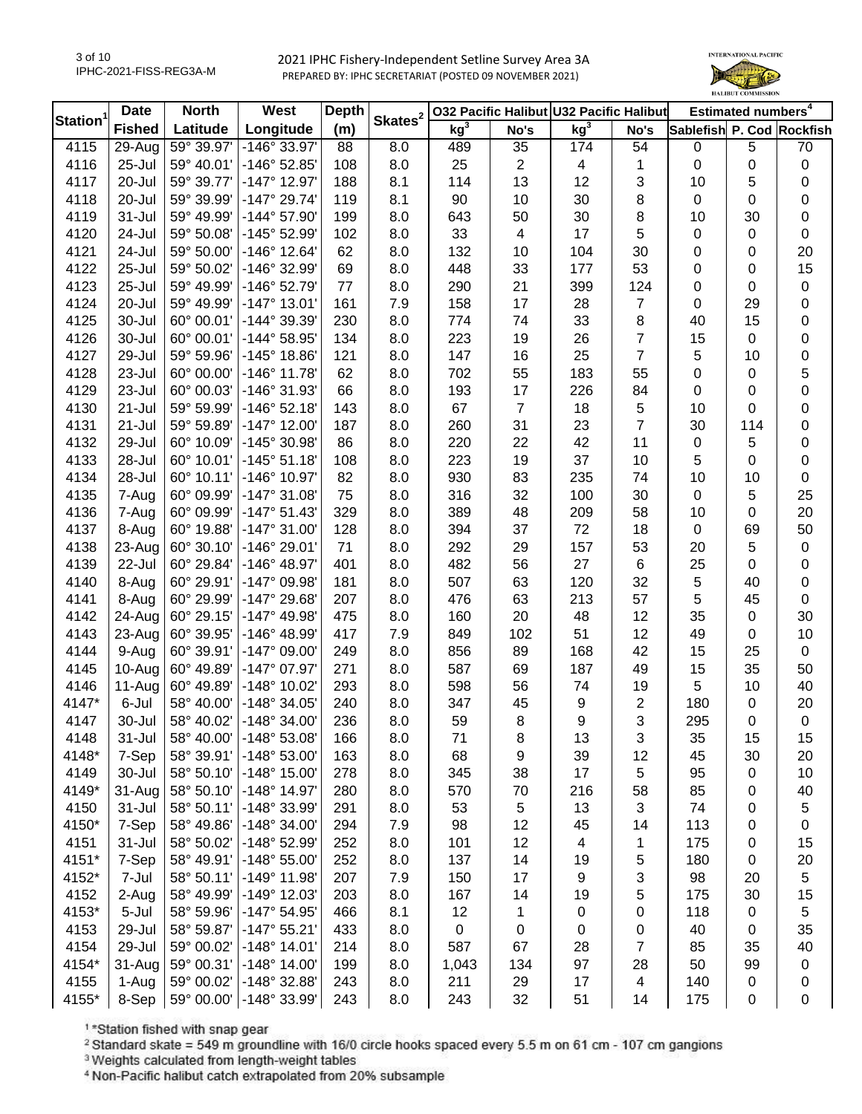

| Station <sup>1</sup> | <b>Date</b>   | <b>North</b> | West                  | <b>Depth</b> | Skates <sup>2</sup> |                 |                | 032 Pacific Halibut U32 Pacific Halibut |                |                           | Estimated numbers <sup>4</sup> |                  |
|----------------------|---------------|--------------|-----------------------|--------------|---------------------|-----------------|----------------|-----------------------------------------|----------------|---------------------------|--------------------------------|------------------|
|                      | <b>Fished</b> | Latitude     | Longitude             | (m)          |                     | kg <sup>3</sup> | No's           | kg <sup>3</sup>                         | No's           | Sablefish P. Cod Rockfish |                                |                  |
| 4115                 | 29-Aug        | 59° 39.97'   | -146° 33.97'          | 88           | 8.0                 | 489             | 35             | 174                                     | 54             | 0                         | $\sqrt{5}$                     | 70               |
| 4116                 | 25-Jul        | 59° 40.01'   | -146° 52.85'          | 108          | 8.0                 | 25              | $\overline{2}$ | 4                                       | 1              | 0                         | $\pmb{0}$                      | $\boldsymbol{0}$ |
| 4117                 | 20-Jul        | 59° 39.77'   | $-147^{\circ}$ 12.97' | 188          | 8.1                 | 114             | 13             | 12                                      | 3              | 10                        | 5                              | 0                |
| 4118                 | 20-Jul        | 59° 39.99'   | $-147^{\circ}$ 29.74' | 119          | 8.1                 | 90              | 10             | 30                                      | 8              | 0                         | 0                              | 0                |
| 4119                 | 31-Jul        | 59° 49.99'   | $-144^{\circ}$ 57.90' | 199          | 8.0                 | 643             | 50             | 30                                      | 8              | 10                        | 30                             | $\boldsymbol{0}$ |
| 4120                 | 24-Jul        | 59° 50.08'   | -145° 52.99'          | 102          | 8.0                 | 33              | 4              | 17                                      | 5              | 0                         | $\mathbf 0$                    | $\mathbf 0$      |
| 4121                 | 24-Jul        | 59° 50.00'   | $-146^{\circ}$ 12.64' | 62           | 8.0                 | 132             | 10             | 104                                     | 30             | 0                         | 0                              | 20               |
| 4122                 | 25-Jul        | 59° 50.02'   | -146° 32.99'          | 69           | 8.0                 | 448             | 33             | 177                                     | 53             | 0                         | 0                              | 15               |
| 4123                 | 25-Jul        | 59° 49.99'   | -146° 52.79'          | 77           | 8.0                 | 290             | 21             | 399                                     | 124            | 0                         | $\mathbf 0$                    | $\pmb{0}$        |
| 4124                 | 20-Jul        | 59° 49.99'   | $-147°$ 13.01'        | 161          | 7.9                 | 158             | 17             | 28                                      | $\overline{7}$ | 0                         | 29                             | $\boldsymbol{0}$ |
| 4125                 | 30-Jul        | 60° 00.01'   | -144° 39.39'          | 230          | 8.0                 | 774             | 74             | 33                                      | 8              | 40                        | 15                             | $\boldsymbol{0}$ |
| 4126                 | 30-Jul        | 60° 00.01'   | $-144^{\circ} 58.95'$ | 134          | 8.0                 | 223             | 19             | 26                                      | $\overline{7}$ | 15                        | $\mathbf 0$                    | $\boldsymbol{0}$ |
| 4127                 | 29-Jul        | 59° 59.96'   | $-145^{\circ}$ 18.86' | 121          | 8.0                 | 147             | 16             | 25                                      | $\overline{7}$ | 5                         | 10                             | $\boldsymbol{0}$ |
| 4128                 | 23-Jul        | 60° 00.00'   | $-146^{\circ}$ 11.78' | 62           | 8.0                 | 702             | 55             | 183                                     | 55             | 0                         | $\mathbf 0$                    | 5                |
| 4129                 | 23-Jul        | 60° 00.03'   | -146° 31.93'          | 66           | 8.0                 | 193             | 17             | 226                                     | 84             | 0                         | 0                              | $\boldsymbol{0}$ |
| 4130                 | 21-Jul        | 59° 59.99'   | $-146°52.18'$         | 143          | 8.0                 | 67              | $\overline{7}$ | 18                                      | 5              | 10                        | 0                              | $\boldsymbol{0}$ |
| 4131                 | 21-Jul        | 59° 59.89'   | $-147^{\circ}$ 12.00' | 187          | 8.0                 | 260             | 31             | 23                                      | $\overline{7}$ | 30                        | 114                            | $\boldsymbol{0}$ |
| 4132                 | 29-Jul        | 60° 10.09'   | -145° 30.98'          | 86           | 8.0                 | 220             | 22             | 42                                      | 11             | 0                         | 5                              | $\boldsymbol{0}$ |
| 4133                 | 28-Jul        | 60° 10.01'   | $-145°51.18'$         | 108          | 8.0                 | 223             | 19             | 37                                      | 10             | 5                         | 0                              | $\boldsymbol{0}$ |
| 4134                 | 28-Jul        | 60° 10.11'   | -146° 10.97'          | 82           | 8.0                 | 930             | 83             | 235                                     | 74             | 10                        | 10                             | $\mathbf 0$      |
| 4135                 | 7-Aug         | 60° 09.99'   | $-147°31.08'$         | 75           | 8.0                 | 316             | 32             | 100                                     | 30             | 0                         | 5                              | 25               |
| 4136                 | 7-Aug         | 60° 09.99'   | $-147°51.43'$         | 329          | 8.0                 | 389             | 48             | 209                                     | 58             | 10                        | 0                              | 20               |
| 4137                 | 8-Aug         | 60° 19.88'   | $-147^{\circ}$ 31.00' | 128          | 8.0                 | 394             | 37             | 72                                      | 18             | $\pmb{0}$                 | 69                             | 50               |
| 4138                 | 23-Aug        | 60° 30.10'   | $-146°$ 29.01'        | 71           | 8.0                 | 292             | 29             | 157                                     | 53             | 20                        | 5                              | $\pmb{0}$        |
| 4139                 | 22-Jul        | 60° 29.84'   | -146° 48.97'          | 401          | 8.0                 | 482             | 56             | 27                                      | $\,6$          | 25                        | 0                              | $\boldsymbol{0}$ |
| 4140                 | 8-Aug         | 60° 29.91'   | -147° 09.98'          | 181          | 8.0                 | 507             | 63             | 120                                     | 32             | $\sqrt{5}$                | 40                             | $\pmb{0}$        |
| 4141                 | 8-Aug         | 60° 29.99'   | -147° 29.68'          | 207          | 8.0                 | 476             | 63             | 213                                     | 57             | 5                         | 45                             | $\pmb{0}$        |
| 4142                 | 24-Aug        | 60° 29.15'   | $-147^{\circ}$ 49.98' | 475          | 8.0                 | 160             | 20             | 48                                      | 12             | 35                        | $\mathsf 0$                    | 30               |
| 4143                 | 23-Aug        | 60° 39.95'   | -146° 48.99'          | 417          | 7.9                 | 849             | 102            | 51                                      | 12             | 49                        | $\mathbf 0$                    | $10$             |
| 4144                 | 9-Aug         | 60° 39.91'   | $-147^{\circ}$ 09.00' | 249          | 8.0                 | 856             | 89             | 168                                     | 42             | 15                        | 25                             | $\pmb{0}$        |
| 4145                 | 10-Aug        | 60° 49.89'   | $-147^{\circ}$ 07.97' | 271          | 8.0                 | 587             | 69             | 187                                     | 49             | 15                        | 35                             | 50               |
| 4146                 | 11-Aug        | 60° 49.89'   | -148° 10.02'          | 293          | 8.0                 | 598             | 56             | 74                                      | 19             | 5                         | 10                             | 40               |
| 4147*                | 6-Jul         | 58° 40.00'   | $-148°34.05'$         | 240          | 8.0                 | 347             | 45             | 9                                       | 2              | 180                       | $\mathbf 0$                    | 20               |
| 4147                 | 30-Jul        | 58° 40.02'   | $-148°34.00'$         | 236          | 8.0                 | 59              | 8              | 9                                       | 3              | 295                       | 0                              | $\mathbf 0$      |
| 4148                 | 31-Jul        | 58° 40.00'   | $-148°53.08'$         | 166          | 8.0                 | 71              | 8              | 13                                      | 3              | 35                        | 15                             | 15               |
| 4148*                | 7-Sep         | 58° 39.91'   | -148° 53.00'          | 163          | 8.0                 | 68              | 9              | 39                                      | 12             | 45                        | 30                             | 20               |
| 4149                 | 30-Jul        | 58° 50.10'   | $-148°$ 15.00'        | 278          | 8.0                 | 345             | 38             | 17                                      | 5              | 95                        | 0                              | 10               |
| 4149*                | 31-Aug        | 58° 50.10'   | $-148°$ 14.97'        | 280          | 8.0                 | 570             | 70             | 216                                     | 58             | 85                        | 0                              | 40               |
| 4150                 | 31-Jul        | 58° 50.11'   | -148° 33.99'          | 291          | 8.0                 | 53              | $\sqrt{5}$     | 13                                      | 3              | 74                        | 0                              | 5                |
| 4150*                | 7-Sep         | 58° 49.86'   | -148° 34.00'          | 294          | 7.9                 | 98              | 12             | 45                                      | 14             | 113                       | 0                              | 0                |
| 4151                 | 31-Jul        | 58° 50.02'   | -148° 52.99'          | 252          | 8.0                 | 101             | 12             | 4                                       | 1              | 175                       | 0                              | 15               |
| 4151*                | 7-Sep         | 58° 49.91'   | $-148°55.00'$         | 252          | 8.0                 | 137             | 14             | 19                                      | 5              | 180                       | 0                              | 20               |
| 4152*                | 7-Jul         | 58° 50.11'   | -149° 11.98'          | 207          | 7.9                 | 150             | 17             | 9                                       | 3              | 98                        | 20                             | $\sqrt{5}$       |
| 4152                 | 2-Aug         | 58° 49.99'   | -149° 12.03'          | 203          | 8.0                 | 167             | 14             | 19                                      | 5              | 175                       | 30                             | 15               |
| 4153*                | 5-Jul         | 58° 59.96'   | $-147^{\circ}$ 54.95' | 466          | 8.1                 | 12              | 1              | 0                                       | 0              | 118                       | $\mathbf 0$                    | 5                |
| 4153                 | 29-Jul        | 58° 59.87'   | $-147^{\circ}55.21'$  | 433          | 8.0                 | $\mathbf 0$     | 0              | 0                                       | 0              | 40                        | 0                              | 35               |
| 4154                 | 29-Jul        | 59° 00.02'   | $-148°$ 14.01'        | 214          | 8.0                 | 587             | 67             | 28                                      | $\overline{7}$ | 85                        | 35                             | 40               |
| 4154*                | 31-Aug        | 59° 00.31'   | $-148°$ 14.00'        | 199          | 8.0                 | 1,043           | 134            | 97                                      | 28             | 50                        | 99                             | $\pmb{0}$        |
| 4155                 | 1-Aug         | 59° 00.02'   | -148° 32.88'          | 243          | 8.0                 | 211             | 29             | 17                                      | 4              | 140                       | 0                              | 0                |
| 4155*                | 8-Sep         | 59° 00.00'   | -148° 33.99'          | 243          | 8.0                 | 243             | 32             | 51                                      | 14             | 175                       | $\mathbf 0$                    | 0                |

1\*Station fished with snap gear

<sup>2</sup> Standard skate = 549 m groundline with 16/0 circle hooks spaced every 5.5 m on 61 cm - 107 cm gangions

<sup>3</sup> Weights calculated from length-weight tables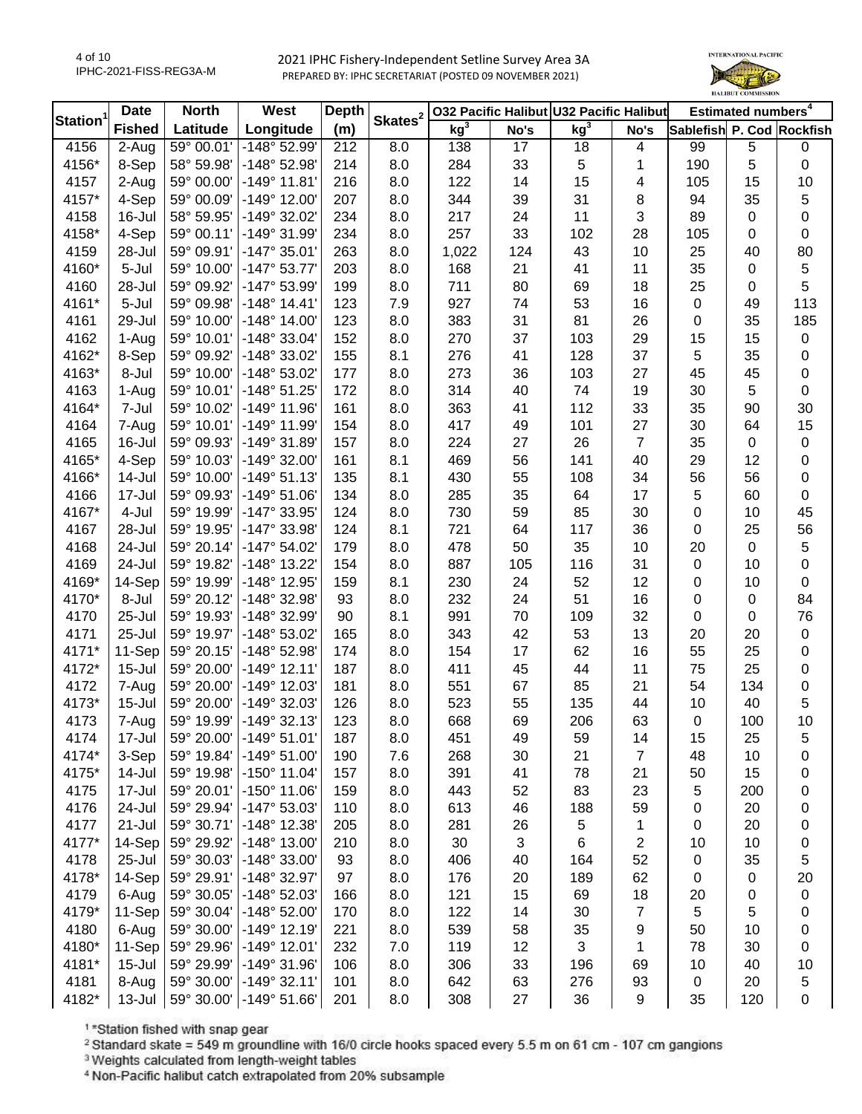

| Station <sup>1</sup> | <b>Date</b>         | <b>North</b>             | West                  | <b>Depth</b> | Skates <sup>2</sup> |                 |      | 032 Pacific Halibut U32 Pacific Halibut |                |                           | Estimated numbers <sup>4</sup> |           |
|----------------------|---------------------|--------------------------|-----------------------|--------------|---------------------|-----------------|------|-----------------------------------------|----------------|---------------------------|--------------------------------|-----------|
|                      | <b>Fished</b>       | Latitude                 | Longitude             | (m)          |                     | kg <sup>3</sup> | No's | kg <sup>3</sup>                         | No's           | Sablefish P. Cod Rockfish |                                |           |
| 4156                 | $\overline{2}$ -Aug | 59° 00.01'               | -148° 52.99'          | 212          | 8.0                 | 138             | 17   | 18                                      | 4              | 99                        | 5                              | 0         |
| 4156*                | 8-Sep               | 58° 59.98'               | -148° 52.98'          | 214          | 8.0                 | 284             | 33   | 5                                       | 1              | 190                       | 5                              | 0         |
| 4157                 | 2-Aug               | 59° 00.00'               | $-149°$ 11.81'        | 216          | 8.0                 | 122             | 14   | 15                                      | 4              | 105                       | 15                             | 10        |
| 4157*                | 4-Sep               | 59° 00.09'               | $-149°$ 12.00'        | 207          | 8.0                 | 344             | 39   | 31                                      | 8              | 94                        | 35                             | 5         |
| 4158                 | $16 -$ Jul          | 58° 59.95'               | -149° 32.02'          | 234          | 8.0                 | 217             | 24   | 11                                      | 3              | 89                        | $\boldsymbol{0}$               | 0         |
| 4158*                | 4-Sep               | 59° 00.11'               | -149° 31.99'          | 234          | 8.0                 | 257             | 33   | 102                                     | 28             | 105                       | 0                              | $\pmb{0}$ |
| 4159                 | 28-Jul              | 59° 09.91'               | $-147°35.01'$         | 263          | 8.0                 | 1,022           | 124  | 43                                      | 10             | 25                        | 40                             | 80        |
| 4160*                | 5-Jul               | 59° 10.00'               | $-147°53.77'$         | 203          | 8.0                 | 168             | 21   | 41                                      | 11             | 35                        | $\boldsymbol{0}$               | 5         |
| 4160                 | 28-Jul              | 59° 09.92'               | -147° 53.99'          | 199          | 8.0                 | 711             | 80   | 69                                      | 18             | 25                        | $\boldsymbol{0}$               | 5         |
| 4161*                | 5-Jul               | 59° 09.98'               | $-148°$ 14.41'        | 123          | 7.9                 | 927             | 74   | 53                                      | 16             | 0                         | 49                             | 113       |
| 4161                 | 29-Jul              | 59° 10.00'               | $-148^\circ$ 14.00    | 123          | 8.0                 | 383             | 31   | 81                                      | 26             | 0                         | 35                             | 185       |
| 4162                 | 1-Aug               | 59° 10.01'               | $-148°33.04'$         | 152          | 8.0                 | 270             | 37   | 103                                     | 29             | 15                        | 15                             | $\pmb{0}$ |
| 4162*                | 8-Sep               | 59° 09.92'               | -148° 33.02'          | 155          | 8.1                 | 276             | 41   | 128                                     | 37             | 5                         | 35                             | 0         |
| 4163*                | 8-Jul               | 59° 10.00'               | -148° 53.02'          | 177          | 8.0                 | 273             | 36   | 103                                     | 27             | 45                        | 45                             | $\pmb{0}$ |
| 4163                 | 1-Aug               | 59° 10.01'               | $-148°51.25'$         | 172          | 8.0                 | 314             | 40   | 74                                      | 19             | 30                        | 5                              | $\pmb{0}$ |
| 4164*                | 7-Jul               | 59° 10.02'               | $-149°$ 11.96'        | 161          | 8.0                 | 363             | 41   | 112                                     | 33             | 35                        | 90                             | 30        |
| 4164                 | 7-Aug               | 59° 10.01'               | -149° 11.99'          | 154          | 8.0                 | 417             | 49   | 101                                     | 27             | 30                        | 64                             | 15        |
| 4165                 | 16-Jul              | 59° 09.93'               | -149° 31.89'          | 157          | 8.0                 | 224             | 27   | 26                                      | $\overline{7}$ | 35                        | $\boldsymbol{0}$               | 0         |
| 4165*                | 4-Sep               | 59° 10.03'               | $-149°32.00'$         | 161          | 8.1                 | 469             | 56   | 141                                     | 40             | 29                        | 12                             | 0         |
| 4166*                | 14-Jul              | 59° 10.00'               | $-149°51.13'$         | 135          | 8.1                 | 430             | 55   | 108                                     | 34             | 56                        | 56                             | 0         |
| 4166                 | 17-Jul              | 59° 09.93'               | $-149°51.06'$         | 134          | 8.0                 | 285             | 35   | 64                                      | 17             | 5                         | 60                             | 0         |
| 4167*                | 4-Jul               | 59° 19.99'               | -147° 33.95'          | 124          | 8.0                 | 730             | 59   | 85                                      | 30             | 0                         | 10                             | 45        |
| 4167                 | 28-Jul              | 59° 19.95'               | -147° 33.98'          | 124          | 8.1                 | 721             | 64   | 117                                     | 36             | 0                         | 25                             | 56        |
| 4168                 | 24-Jul              | 59° 20.14'               | $-147°54.02'$         | 179          | 8.0                 | 478             | 50   | 35                                      | 10             | 20                        | $\pmb{0}$                      | 5         |
| 4169                 | 24-Jul              | 59° 19.82'               | -148° 13.22'          | 154          | 8.0                 | 887             | 105  | 116                                     | 31             | 0                         | 10                             | 0         |
| 4169*                | 14-Sep              | 59° 19.99'               | -148° 12.95'          | 159          | 8.1                 | 230             | 24   | 52                                      | 12             | 0                         | 10                             | $\pmb{0}$ |
| 4170*                | 8-Jul               | 59° 20.12'               | -148° 32.98'          | 93           | 8.0                 | 232             | 24   | 51                                      | 16             | 0                         | $\boldsymbol{0}$               | 84        |
| 4170                 | 25-Jul              | 59° 19.93'               | -148° 32.99'          | 90           | 8.1                 | 991             | 70   | 109                                     | 32             | 0                         | $\boldsymbol{0}$               | 76        |
| 4171                 | 25-Jul              | 59° 19.97'               | -148° 53.02'          | 165          | 8.0                 | 343             | 42   | 53                                      | 13             | 20                        | 20                             | $\pmb{0}$ |
| 4171*                | 11-Sep              | 59° 20.15'               | -148° 52.98'          | 174          | 8.0                 | 154             | 17   | 62                                      | 16             | 55                        | 25                             | 0         |
| 4172*                | $15 -$ Jul          | 59° 20.00'               | $-149°$ 12.11'        | 187          | 8.0                 | 411             | 45   | 44                                      | 11             | 75                        | 25                             | 0         |
| 4172                 | 7-Aug               | 59° 20.00'               | -149° 12.03'          | 181          | 8.0                 | 551             | 67   | 85                                      | 21             | 54                        | 134                            | 0         |
| 4173*                | $15 -$ Jul          | 59° 20.00'               | $-149°32.03'$         | 126          | 8.0                 | 523             | 55   | 135                                     | 44             | 10                        | 40                             | 5         |
| 4173                 | 7-Aug               | 59° 19.99'               | $-149°32.13'$         | 123          | 8.0                 | 668             | 69   | 206                                     | 63             | 0                         | 100                            | 10        |
| 4174                 | 17-Jul              | 59° 20.00'               | $-149°51.01'$         | 187          | 8.0                 | 451             | 49   | 59                                      | 14             | 15                        | 25                             |           |
| 4174*                | 3-Sep               | 59° 19.84'               | $-149°51.00'$         | 190          | 7.6                 | 268             | 30   | 21                                      | 7              | 48                        | 10                             | 5<br>0    |
| 4175*                | 14-Jul              | 59° 19.98'               | $-150^{\circ}$ 11.04' | 157          | 8.0                 | 391             | 41   | 78                                      | 21             | 50                        | 15                             | 0         |
| 4175                 | 17-Jul              | 59° 20.01'               | $-150^{\circ}$ 11.06' | 159          | 8.0                 | 443             | 52   | 83                                      | 23             | 5                         | 200                            |           |
| 4176                 | 24-Jul              | 59° 29.94'               | -147° 53.03'          | 110          | 8.0                 | 613             | 46   | 188                                     | 59             |                           | 20                             | 0         |
| 4177                 | 21-Jul              | 59° 30.71'               |                       |              |                     |                 |      |                                         |                | 0                         | 20                             | 0         |
|                      |                     |                          | $-148^\circ$ 12.38'   | 205          | 8.0                 | 281             | 26   | 5                                       | 1              | 0                         |                                | 0         |
| 4177*                | 14-Sep              | 59° 29.92'<br>59° 30.03' | $-148^\circ$ 13.00'   | 210          | 8.0                 | 30              | 3    | 6                                       | 2              | 10                        | 10                             | 0         |
| 4178                 | 25-Jul              |                          | $-148°33.00'$         | 93           | 8.0                 | 406             | 40   | 164                                     | 52             | 0                         | 35                             | 5         |
| 4178*                | 14-Sep              | 59° 29.91'               | -148° 32.97'          | 97           | 8.0                 | 176             | 20   | 189                                     | 62             | 0                         | 0                              | 20        |
| 4179                 | 6-Aug               | 59° 30.05'               | -148° 52.03'          | 166          | 8.0                 | 121             | 15   | 69                                      | 18             | 20                        | 0                              | 0         |
| 4179*                | 11-Sep              | 59° 30.04'               | $-148°52.00'$         | 170          | 8.0                 | 122             | 14   | 30                                      | 7              | 5                         | 5                              | 0         |
| 4180                 | 6-Aug               | 59° 30.00'               | $-149°$ 12.19         | 221          | 8.0                 | 539             | 58   | 35                                      | 9              | 50                        | 10                             | 0         |
| 4180*                | 11-Sep              | 59° 29.96'               | $-149°$ 12.01'        | 232          | 7.0                 | 119             | 12   | 3                                       | 1              | 78                        | 30                             | 0         |
| 4181*                | $15 -$ Jul          | 59° 29.99'               | $-149°31.96'$         | 106          | 8.0                 | 306             | 33   | 196                                     | 69             | 10                        | 40                             | 10        |
| 4181                 | 8-Aug               | 59° 30.00'               | $-149°32.11'$         | 101          | 8.0                 | 642             | 63   | 276                                     | 93             | 0                         | 20                             | 5         |
| 4182*                | $13 -$ Jul          | 59° 30.00'               | $-149°51.66'$         | 201          | 8.0                 | 308             | 27   | 36                                      | 9              | 35                        | 120                            | 0         |

1\*Station fished with snap gear

<sup>2</sup> Standard skate = 549 m groundline with 16/0 circle hooks spaced every 5.5 m on 61 cm - 107 cm gangions

<sup>3</sup> Weights calculated from length-weight tables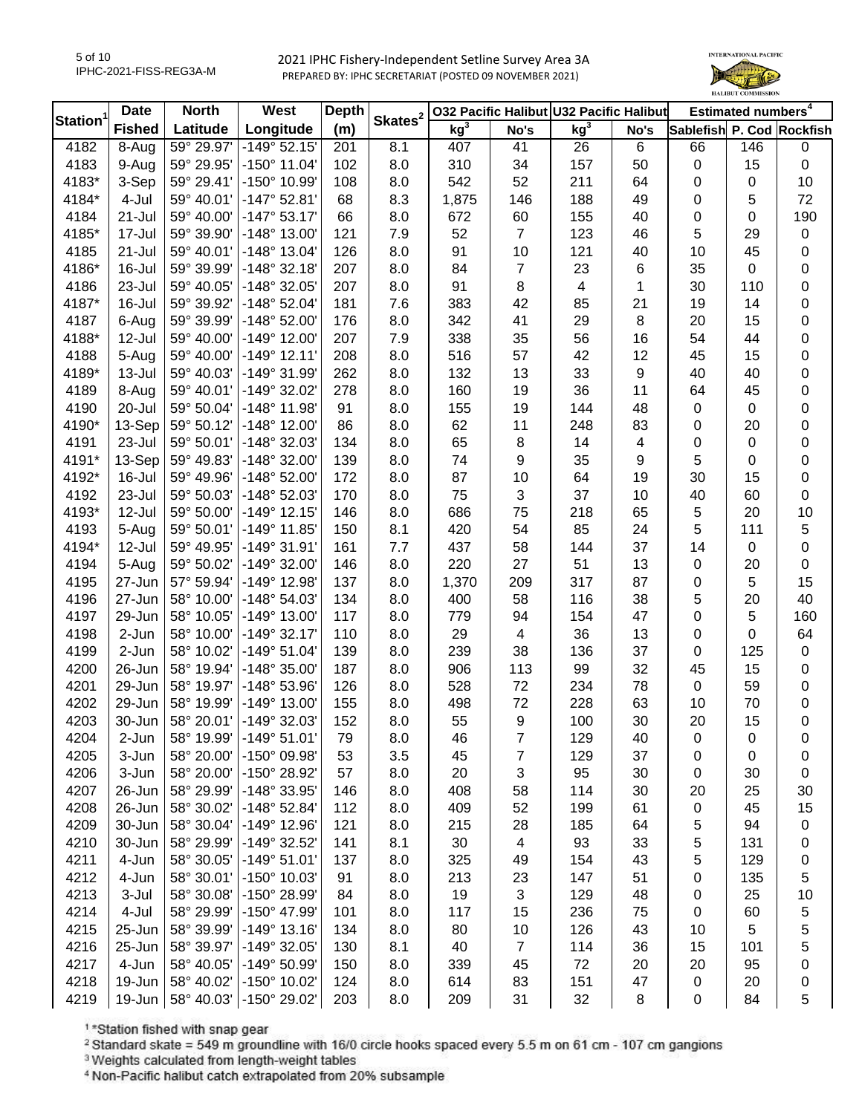

|                | <b>Date</b>   | <b>North</b> | West                  | Depth | Skates <sup>2</sup> |                 |                | 032 Pacific Halibut U32 Pacific Halibut |          |                           | Estimated numbers <sup>4</sup> |                  |
|----------------|---------------|--------------|-----------------------|-------|---------------------|-----------------|----------------|-----------------------------------------|----------|---------------------------|--------------------------------|------------------|
| <b>Station</b> | <b>Fished</b> | Latitude     | Longitude             | (m)   |                     | kg <sup>3</sup> | No's           | kg <sup>3</sup>                         | No's     | Sablefish P. Cod Rockfish |                                |                  |
| 4182           | 8-Aug         | 59° 29.97'   | $-149°52.15'$         | 201   | 8.1                 | 407             | 41             | 26                                      | 6        | 66                        | 146                            | 0                |
| 4183           | 9-Aug         | 59° 29.95'   | $-150^{\circ}$ 11.04' | 102   | 8.0                 | 310             | 34             | 157                                     | 50       | $\pmb{0}$                 | 15                             | $\pmb{0}$        |
| 4183*          | 3-Sep         | 59° 29.41'   | -150° 10.99'          | 108   | 8.0                 | 542             | 52             | 211                                     | 64       | $\mathbf 0$               | $\boldsymbol{0}$               | 10               |
| 4184*          | 4-Jul         | 59° 40.01'   | $-147°52.81'$         | 68    | 8.3                 | 1,875           | 146            | 188                                     | 49       | 0                         | 5                              | 72               |
| 4184           | 21-Jul        | 59° 40.00'   | $-147°53.17'$         | 66    | 8.0                 | 672             | 60             | 155                                     | 40       | 0                         | 0                              | 190              |
| 4185*          | 17-Jul        | 59° 39.90'   | -148° 13.00'          | 121   | 7.9                 | 52              | $\overline{7}$ | 123                                     | 46       | 5                         | 29                             | $\pmb{0}$        |
| 4185           | 21-Jul        | 59° 40.01'   | $-148°$ 13.04'        | 126   | 8.0                 | 91              | 10             | 121                                     | 40       | 10                        | 45                             | $\boldsymbol{0}$ |
| 4186*          | 16-Jul        | 59° 39.99'   | $-148°32.18'$         | 207   | 8.0                 | 84              | 7              | 23                                      | 6        | 35                        | 0                              | 0                |
| 4186           | 23-Jul        | 59° 40.05'   | -148° 32.05'          | 207   | 8.0                 | 91              | 8              | $\overline{\mathbf{4}}$                 | 1        | 30                        | 110                            | 0                |
| 4187*          | 16-Jul        | 59° 39.92'   | -148° 52.04'          | 181   | 7.6                 | 383             | 42             | 85                                      | 21       | 19                        | 14                             | 0                |
| 4187           | 6-Aug         | 59° 39.99'   | $-148°52.00'$         | 176   | 8.0                 | 342             | 41             | 29                                      | 8        | 20                        | 15                             | 0                |
| 4188*          | 12-Jul        | 59° 40.00'   | $-149^{\circ}$ 12.00' | 207   | 7.9                 | 338             | 35             | 56                                      | 16       | 54                        | 44                             | $\boldsymbol{0}$ |
| 4188           | 5-Aug         | 59° 40.00'   | $-149°$ 12.11'        | 208   | 8.0                 | 516             | 57             | 42                                      | 12       | 45                        | 15                             | $\pmb{0}$        |
| 4189*          | $13 -$ Jul    | 59° 40.03'   | -149° 31.99'          | 262   | 8.0                 | 132             | 13             | 33                                      | 9        | 40                        | 40                             | $\pmb{0}$        |
| 4189           | 8-Aug         | 59° 40.01'   | -149° 32.02'          | 278   | 8.0                 | 160             | 19             | 36                                      | 11       | 64                        | 45                             | $\pmb{0}$        |
| 4190           | 20-Jul        | 59° 50.04'   | $-148°$ 11.98'        | 91    | 8.0                 | 155             | 19             | 144                                     | 48       | $\mathbf 0$               | $\pmb{0}$                      | $\pmb{0}$        |
| 4190*          | 13-Sep        | 59° 50.12'   | $-148°$ 12.00         | 86    | 8.0                 | 62              | 11             | 248                                     | 83       | 0                         | 20                             | $\pmb{0}$        |
| 4191           | 23-Jul        | 59° 50.01'   | -148° 32.03'          | 134   | 8.0                 | 65              | 8              | 14                                      | 4        | 0                         | $\mathbf 0$                    | $\mathbf 0$      |
| 4191*          | 13-Sep        | 59° 49.83'   | $-148°32.00'$         | 139   | 8.0                 | 74              | 9              | 35                                      | 9        | 5                         | 0                              | $\boldsymbol{0}$ |
| 4192*          | 16-Jul        | 59° 49.96'   | $-148°52.00'$         | 172   | 8.0                 | 87              | 10             | 64                                      | 19       | 30                        | 15                             | $\boldsymbol{0}$ |
| 4192           | 23-Jul        | 59° 50.03'   | -148° 52.03'          | 170   | 8.0                 | 75              | 3              | 37                                      | 10       | 40                        | 60                             | $\pmb{0}$        |
| 4193*          | 12-Jul        | 59° 50.00'   | $-149°$ 12.15'        | 146   | 8.0                 | 686             | 75             | 218                                     | 65       | 5                         | 20                             | 10               |
| 4193           | 5-Aug         | 59° 50.01'   | $-149°$ 11.85'        | 150   | 8.1                 | 420             | 54             | 85                                      | 24       | 5                         | 111                            | 5                |
| 4194*          | 12-Jul        | 59° 49.95'   | $-149°31.91'$         | 161   | 7.7                 | 437             | 58             | 144                                     | 37       | 14                        | $\mathbf 0$                    | 0                |
| 4194           | 5-Aug         | 59° 50.02'   | $-149°32.00'$         | 146   | 8.0                 | 220             | 27             | 51                                      | 13       | 0                         | 20                             | $\pmb{0}$        |
| 4195           | 27-Jun        | 57° 59.94'   | -149° 12.98'          | 137   | 8.0                 | 1,370           | 209            | 317                                     | 87       | 0                         | 5                              | 15               |
| 4196           | 27-Jun        | 58° 10.00'   | -148° 54.03'          | 134   | 8.0                 | 400             | 58             | 116                                     | 38       | 5                         | 20                             | 40               |
| 4197           | 29-Jun        | 58° 10.05'   | -149° 13.00'          | 117   | 8.0                 | 779             | 94             | 154                                     | 47       | 0                         | 5                              | 160              |
| 4198           | 2-Jun         | 58° 10.00'   | $-149°32.17'$         | 110   | 8.0                 | 29              | 4              | 36                                      | 13       | 0                         | 0                              | 64               |
| 4199           | 2-Jun         | 58° 10.02'   | $-149°51.04'$         | 139   | 8.0                 | 239             | 38             | 136                                     | 37       | 0                         | 125                            | $\pmb{0}$        |
| 4200           | 26-Jun        | 58° 19.94'   | $-148°35.00'$         | 187   | 8.0                 | 906             | 113            | 99                                      | 32       | 45                        | 15                             | $\pmb{0}$        |
| 4201           | 29-Jun        | 58° 19.97'   | -148° 53.96'          | 126   | 8.0                 | 528             | 72             | 234                                     | 78       | $\pmb{0}$                 | 59                             | $\pmb{0}$        |
| 4202           | 29-Jun        | 58° 19.99'   | $-149°$ 13.00'        | 155   | 8.0                 | 498             | 72             | 228                                     | 63       | 10                        | 70                             | $\pmb{0}$        |
| 4203           | 30-Jun        | 58° 20.01'   | -149° 32.03'          | 152   | 8.0                 | 55              | 9              | 100                                     | 30       | 20                        | 15                             | $\pmb{0}$        |
| 4204           | $2-Jun$       | 58° 19.99'   | $-149°51.01'$         | 79    | 8.0                 | 46              | 7              | 129                                     | 40       | 0                         |                                | 0                |
| 4205           | 3-Jun         | 58° 20.00'   | -150° 09.98'          | 53    | 3.5                 | 45              | 7              | 129                                     | 37       | 0                         | O<br>0                         | 0                |
| 4206           | 3-Jun         | 58° 20.00'   | -150° 28.92'          | 57    | 8.0                 | 20              | 3              | 95                                      | 30       | 0                         | 30                             | 0                |
| 4207           | 26-Jun        | 58° 29.99'   | -148° 33.95'          | 146   | 8.0                 | 408             | 58             | 114                                     | 30       | 20                        | 25                             | 30               |
| 4208           | 26-Jun        | 58° 30.02'   | -148° 52.84'          | 112   | 8.0                 | 409             | 52             | 199                                     | 61       |                           | 45                             | 15               |
| 4209           | 30-Jun        | 58° 30.04'   | -149° 12.96'          | 121   | 8.0                 | 215             | 28             |                                         |          | 0                         | 94                             |                  |
| 4210           | 30-Jun        | 58° 29.99'   | -149° 32.52'          | 141   |                     | 30              | 4              | 185<br>93                               | 64<br>33 | 5                         | 131                            | 0                |
|                |               |              |                       |       | 8.1                 |                 |                |                                         |          | 5                         |                                | 0                |
| 4211           | 4-Jun         | 58° 30.05'   | $-149°51.01'$         | 137   | 8.0                 | 325             | 49             | 154                                     | 43       | 5                         | 129                            | 0                |
| 4212           | 4-Jun         | 58° 30.01'   | -150° 10.03'          | 91    | 8.0                 | 213             | 23             | 147                                     | 51       | 0                         | 135                            | 5                |
| 4213           | 3-Jul         | 58° 30.08'   | -150° 28.99'          | 84    | 8.0                 | 19              | 3              | 129                                     | 48       | 0                         | 25                             | 10               |
| 4214           | 4-Jul         | 58° 29.99'   | -150° 47.99'          | 101   | 8.0                 | 117             | 15             | 236                                     | 75       | 0                         | 60                             | 5                |
| 4215           | 25-Jun        | 58° 39.99'   | $-149°$ 13.16'        | 134   | 8.0                 | 80              | 10             | 126                                     | 43       | 10                        | 5                              | 5                |
| 4216           | 25-Jun        | 58° 39.97'   | -149° 32.05'          | 130   | 8.1                 | 40              | $\overline{7}$ | 114                                     | 36       | 15                        | 101                            | 5                |
| 4217           | 4-Jun         | 58° 40.05'   | -149° 50.99'          | 150   | 8.0                 | 339             | 45             | 72                                      | 20       | 20                        | 95                             | 0                |
| 4218           | 19-Jun        | 58° 40.02'   | -150° 10.02'          | 124   | 8.0                 | 614             | 83             | 151                                     | 47       | $\pmb{0}$                 | 20                             | 0                |
| 4219           | 19-Jun        | 58° 40.03'   | -150° 29.02'          | 203   | 8.0                 | 209             | 31             | 32                                      | 8        | 0                         | 84                             | 5                |

1\*Station fished with snap gear

<sup>2</sup> Standard skate = 549 m groundline with 16/0 circle hooks spaced every 5.5 m on 61 cm - 107 cm gangions

<sup>3</sup> Weights calculated from length-weight tables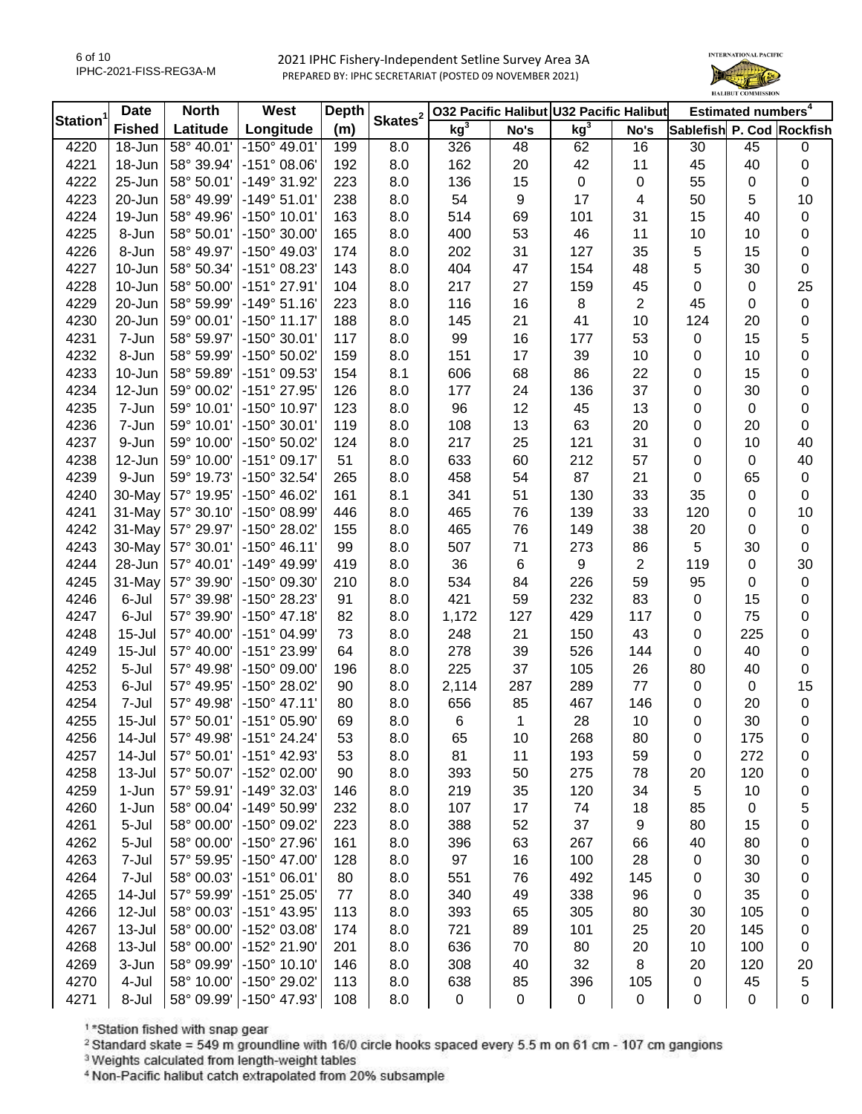

|                | <b>Date</b>   | <b>North</b> | West                  | Depth | Skates <sup>2</sup> |                 |      | 032 Pacific Halibut U32 Pacific Halibut |                |                           | Estimated numbers <sup>4</sup> |           |
|----------------|---------------|--------------|-----------------------|-------|---------------------|-----------------|------|-----------------------------------------|----------------|---------------------------|--------------------------------|-----------|
| <b>Station</b> | <b>Fished</b> | Latitude     | Longitude             | (m)   |                     | kg <sup>3</sup> | No's | kg <sup>3</sup>                         | No's           | Sablefish P. Cod Rockfish |                                |           |
| 4220           | 18-Jun        | 58° 40.01'   | $-150^{\circ}$ 49.01' | 199   | 8.0                 | 326             | 48   | 62                                      | 16             | 30                        | 45                             | 0         |
| 4221           | 18-Jun        | 58° 39.94'   | $-151^{\circ}$ 08.06' | 192   | 8.0                 | 162             | 20   | 42                                      | 11             | 45                        | 40                             | 0         |
| 4222           | 25-Jun        | 58° 50.01'   | -149° 31.92'          | 223   | 8.0                 | 136             | 15   | $\mathbf 0$                             | 0              | 55                        | $\mathbf 0$                    | 0         |
| 4223           | 20-Jun        | 58° 49.99'   | $-149°51.01'$         | 238   | 8.0                 | 54              | 9    | 17                                      | 4              | 50                        | 5                              | 10        |
| 4224           | 19-Jun        | 58° 49.96'   | -150° 10.01'          | 163   | 8.0                 | 514             | 69   | 101                                     | 31             | 15                        | 40                             | 0         |
| 4225           | 8-Jun         | 58° 50.01'   | -150° 30.00'          | 165   | 8.0                 | 400             | 53   | 46                                      | 11             | 10                        | 10                             | 0         |
| 4226           | 8-Jun         | 58° 49.97'   | -150° 49.03'          | 174   | 8.0                 | 202             | 31   | 127                                     | 35             | 5                         | 15                             | 0         |
| 4227           | 10-Jun        | 58° 50.34'   | -151° 08.23'          | 143   | 8.0                 | 404             | 47   | 154                                     | 48             | 5                         | 30                             | $\pmb{0}$ |
| 4228           | 10-Jun        | 58° 50.00'   | $-151°$ 27.91'        | 104   | 8.0                 | 217             | 27   | 159                                     | 45             | 0                         | $\mathbf 0$                    | 25        |
| 4229           | 20-Jun        | 58° 59.99'   | $-149°51.16'$         | 223   | 8.0                 | 116             | 16   | 8                                       | 2              | 45                        | 0                              | 0         |
| 4230           | 20-Jun        | 59° 00.01'   | $-150^{\circ}$ 11.17' | 188   | 8.0                 | 145             | 21   | 41                                      | 10             | 124                       | 20                             | 0         |
| 4231           | 7-Jun         | 58° 59.97'   | -150° 30.01'          | 117   | 8.0                 | 99              | 16   | 177                                     | 53             | 0                         | 15                             | 5         |
| 4232           | 8-Jun         | 58° 59.99'   | -150° 50.02'          | 159   | 8.0                 | 151             | 17   | 39                                      | 10             | 0                         | 10                             | 0         |
| 4233           | 10-Jun        | 58° 59.89'   | -151° 09.53'          | 154   | 8.1                 | 606             | 68   | 86                                      | 22             | 0                         | 15                             | 0         |
| 4234           | 12-Jun        | 59° 00.02'   | -151° 27.95'          | 126   | 8.0                 | 177             | 24   | 136                                     | 37             | 0                         | 30                             | 0         |
| 4235           | 7-Jun         | 59° 10.01'   | -150° 10.97'          | 123   | 8.0                 | 96              | 12   | 45                                      | 13             | 0                         | $\mathbf 0$                    | 0         |
| 4236           | 7-Jun         | 59° 10.01'   | -150° 30.01'          | 119   | 8.0                 | 108             | 13   | 63                                      | 20             | 0                         | 20                             | $\pmb{0}$ |
| 4237           | 9-Jun         | 59° 10.00'   | -150° 50.02'          | 124   | 8.0                 | 217             | 25   | 121                                     | 31             | 0                         | 10                             | 40        |
| 4238           | 12-Jun        | 59° 10.00'   | $-151^{\circ}$ 09.17' | 51    | 8.0                 | 633             | 60   | 212                                     | 57             | 0                         | 0                              | 40        |
| 4239           | 9-Jun         | 59° 19.73'   | -150° 32.54'          | 265   | 8.0                 | 458             | 54   | 87                                      | 21             | 0                         | 65                             | $\pmb{0}$ |
| 4240           | 30-May        | 57° 19.95'   | -150° 46.02'          | 161   | 8.1                 | 341             | 51   | 130                                     | 33             | 35                        | $\mathbf 0$                    | 0         |
| 4241           | 31-May        | 57° 30.10'   | -150° 08.99'          | 446   | 8.0                 | 465             | 76   | 139                                     | 33             | 120                       | 0                              | 10        |
| 4242           | 31-May        | 57° 29.97'   | -150° 28.02'          | 155   | 8.0                 | 465             | 76   | 149                                     | 38             | 20                        | 0                              | $\pmb{0}$ |
| 4243           | 30-May        | 57° 30.01'   | $-150^{\circ}$ 46.11' | 99    | 8.0                 | 507             | 71   | 273                                     | 86             | 5                         | 30                             | $\pmb{0}$ |
| 4244           | 28-Jun        | 57° 40.01'   | -149° 49.99'          | 419   | 8.0                 | 36              | 6    | 9                                       | $\overline{2}$ | 119                       | $\mathbf 0$                    | 30        |
| 4245           | 31-May        | 57° 39.90'   | -150° 09.30'          | 210   | 8.0                 | 534             | 84   | 226                                     | 59             | 95                        | 0                              | $\pmb{0}$ |
| 4246           | 6-Jul         | 57° 39.98'   | -150° 28.23'          | 91    | 8.0                 | 421             | 59   | 232                                     | 83             | 0                         | 15                             | 0         |
| 4247           | 6-Jul         | 57° 39.90'   | $-150^{\circ}$ 47.18' | 82    | 8.0                 | 1,172           | 127  | 429                                     | 117            | 0                         | 75                             | 0         |
| 4248           | $15 -$ Jul    | 57° 40.00'   | -151° 04.99'          | 73    | 8.0                 | 248             | 21   | 150                                     | 43             | 0                         | 225                            | 0         |
| 4249           | $15 -$ Jul    | 57° 40.00'   | -151° 23.99'          | 64    | 8.0                 | 278             | 39   | 526                                     | 144            | 0                         | 40                             | $\pmb{0}$ |
| 4252           | 5-Jul         | 57° 49.98'   | -150° 09.00'          | 196   | 8.0                 | 225             | 37   | 105                                     | 26             | 80                        | 40                             | $\pmb{0}$ |
| 4253           | 6-Jul         | 57° 49.95'   | -150° 28.02'          | 90    | 8.0                 | 2,114           | 287  | 289                                     | 77             | 0                         | $\mathbf 0$                    | 15        |
| 4254           | 7-Jul         | 57° 49.98'   | $-150^{\circ}$ 47.11' | 80    | 8.0                 | 656             | 85   | 467                                     | 146            | 0                         | 20                             | $\pmb{0}$ |
| 4255           | $15 -$ Jul    | 57° 50.01'   | $-151^{\circ}$ 05.90' | 69    | 8.0                 | $\,6$           | 1    | 28                                      | 10             | 0                         | 30                             | 0         |
| 4256           | 14-Jul        | 57° 49.98'   | $-151^{\circ}$ 24.24' | 53    | 8.0                 | 65              | 10   | 268                                     | 80             | 0                         | 175                            | 0         |
| 4257           | 14-Jul        | 57° 50.01'   | -151° 42.93'          | 53    | 8.0                 | 81              | 11   | 193                                     | 59             | 0                         | 272                            | 0         |
| 4258           | 13-Jul        | 57° 50.07'   | -152° 02.00'          | 90    | 8.0                 | 393             | 50   | 275                                     | 78             | 20                        | 120                            | 0         |
| 4259           | 1-Jun         | 57° 59.91'   | -149° 32.03'          | 146   | 8.0                 | 219             | 35   | 120                                     | 34             | 5                         | 10                             |           |
| 4260           | 1-Jun         | 58° 00.04'   | -149° 50.99'          | 232   | 8.0                 | 107             | 17   | 74                                      | 18             | 85                        | 0                              | 0         |
| 4261           | 5-Jul         | 58° 00.00'   | -150° 09.02'          | 223   | 8.0                 | 388             | 52   | 37                                      | 9              | 80                        | 15                             | 5         |
| 4262           | 5-Jul         | 58° 00.00'   | -150° 27.96'          | 161   | 8.0                 | 396             | 63   | 267                                     |                | 40                        | 80                             | 0         |
|                |               | 57° 59.95'   |                       |       |                     | 97              |      |                                         | 66<br>28       |                           |                                | 0         |
| 4263           | 7-Jul         |              | -150° 47.00'          | 128   | 8.0                 |                 | 16   | 100                                     |                | 0                         | 30                             | 0         |
| 4264           | 7-Jul         | 58° 00.03'   | $-151^{\circ}$ 06.01' | 80    | 8.0                 | 551             | 76   | 492                                     | 145            | 0                         | 30                             | 0         |
| 4265           | 14-Jul        | 57° 59.99'   | $-151^{\circ} 25.05'$ | 77    | 8.0                 | 340             | 49   | 338                                     | 96             | 0                         | 35                             | 0         |
| 4266           | 12-Jul        | 58° 00.03'   | $-151^{\circ}$ 43.95' | 113   | 8.0                 | 393             | 65   | 305                                     | 80             | 30                        | 105                            | 0         |
| 4267           | 13-Jul        | 58° 00.00'   | -152° 03.08'          | 174   | 8.0                 | 721             | 89   | 101                                     | 25             | 20                        | 145                            | 0         |
| 4268           | 13-Jul        | 58° 00.00'   | -152° 21.90'          | 201   | 8.0                 | 636             | 70   | 80                                      | 20             | 10                        | 100                            | 0         |
| 4269           | 3-Jun         | 58° 09.99'   | $-150^{\circ}$ 10.10' | 146   | 8.0                 | 308             | 40   | 32                                      | 8              | 20                        | 120                            | 20        |
| 4270           | 4-Jul         | 58° 10.00'   | -150° 29.02'          | 113   | 8.0                 | 638             | 85   | 396                                     | 105            | 0                         | 45                             | 5         |
| 4271           | 8-Jul         | 58° 09.99'   | -150° 47.93'          | 108   | 8.0                 | 0               | 0    | $\pmb{0}$                               | 0              | 0                         | $\pmb{0}$                      | 0         |

1\*Station fished with snap gear

<sup>2</sup> Standard skate = 549 m groundline with 16/0 circle hooks spaced every 5.5 m on 61 cm - 107 cm gangions

<sup>3</sup> Weights calculated from length-weight tables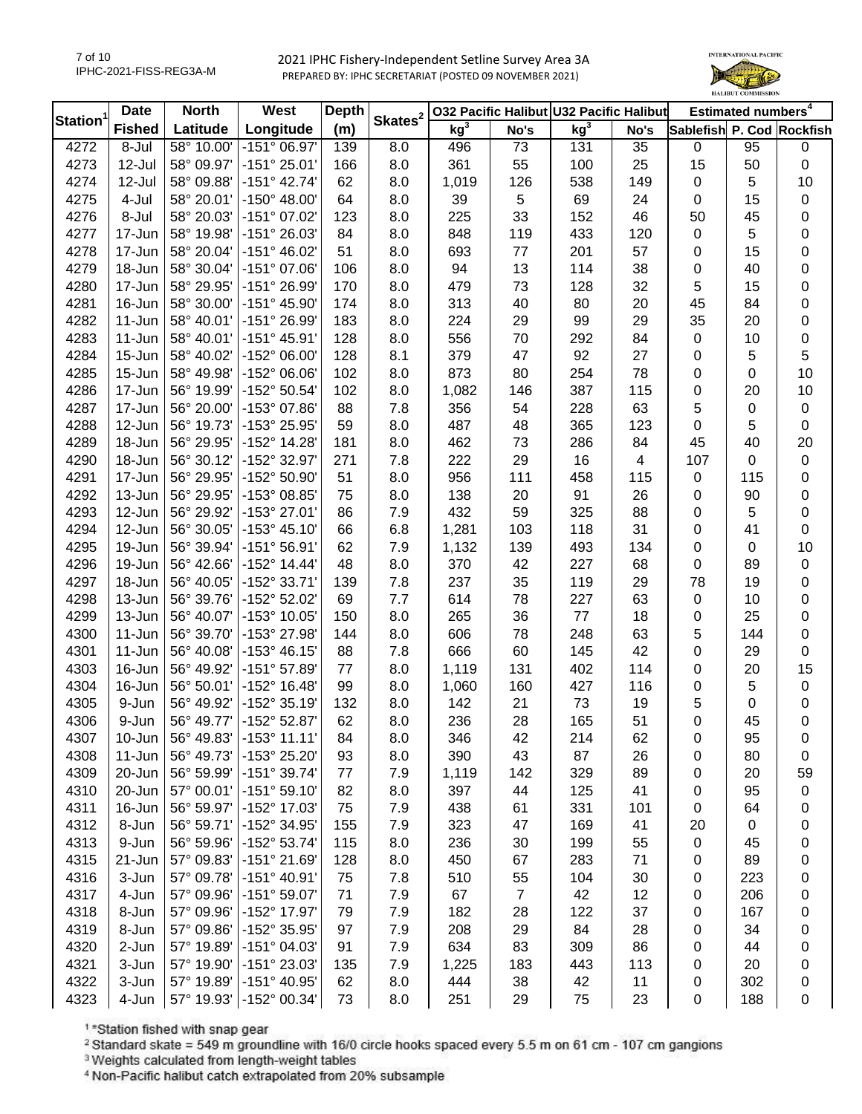7 of 10 IPHC-2021-FISS-REG3A-M



| <b>Station</b> | <b>Date</b>   | <b>North</b> | West                  | <b>Depth</b> | Skates <sup>2</sup> |                 |                | 032 Pacific Halibut U32 Pacific Halibut |      |                           | Estimated numbers <sup>4</sup> |           |
|----------------|---------------|--------------|-----------------------|--------------|---------------------|-----------------|----------------|-----------------------------------------|------|---------------------------|--------------------------------|-----------|
|                | <b>Fished</b> | Latitude     | Longitude             | (m)          |                     | kg <sup>3</sup> | No's           | kg <sup>3</sup>                         | No's | Sablefish P. Cod Rockfish |                                |           |
| 4272           | 8-Jul         | 58° 10.00'   | $-151^{\circ}$ 06.97' | 139          | 8.0                 | 496             | 73             | 131                                     | 35   | 0                         | 95                             | 0         |
| 4273           | 12-Jul        | 58° 09.97'   | $-151°25.01'$         | 166          | 8.0                 | 361             | 55             | 100                                     | 25   | 15                        | 50                             | $\pmb{0}$ |
| 4274           | 12-Jul        | 58° 09.88'   | $-151^{\circ}$ 42.74' | 62           | 8.0                 | 1,019           | 126            | 538                                     | 149  | 0                         | 5                              | 10        |
| 4275           | 4-Jul         | 58° 20.01'   | $-150^{\circ}$ 48.00' | 64           | 8.0                 | 39              | 5              | 69                                      | 24   | 0                         | 15                             | $\pmb{0}$ |
| 4276           | 8-Jul         | 58° 20.03'   | -151° 07.02'          | 123          | 8.0                 | 225             | 33             | 152                                     | 46   | 50                        | 45                             | 0         |
| 4277           | 17-Jun        | 58° 19.98'   | $-151^{\circ} 26.03'$ | 84           | 8.0                 | 848             | 119            | 433                                     | 120  | 0                         | 5                              | 0         |
| 4278           | 17-Jun        | 58° 20.04'   | $-151^{\circ}$ 46.02' | 51           | 8.0                 | 693             | 77             | 201                                     | 57   | 0                         | 15                             | 0         |
| 4279           | 18-Jun        | 58° 30.04'   | $-151^{\circ}$ 07.06  | 106          | 8.0                 | 94              | 13             | 114                                     | 38   | 0                         | 40                             | 0         |
| 4280           | 17-Jun        | 58° 29.95'   | -151° 26.99'          | 170          | 8.0                 | 479             | 73             | 128                                     | 32   | 5                         | 15                             | 0         |
| 4281           | 16-Jun        | 58° 30.00'   | $-151^{\circ}$ 45.90  | 174          | 8.0                 | 313             | 40             | 80                                      | 20   | 45                        | 84                             | 0         |
| 4282           | $11 - Jun$    | 58° 40.01'   | $-151^{\circ} 26.99'$ | 183          | 8.0                 | 224             | 29             | 99                                      | 29   | 35                        | 20                             | 0         |
| 4283           | 11-Jun        | 58° 40.01'   | $-151^{\circ}$ 45.91' | 128          | 8.0                 | 556             | 70             | 292                                     | 84   | 0                         | 10                             | $\pmb{0}$ |
| 4284           | 15-Jun        | 58° 40.02'   | -152° 06.00'          | 128          | 8.1                 | 379             | 47             | 92                                      | 27   | 0                         | 5                              | 5         |
| 4285           | 15-Jun        | 58° 49.98'   | $-152^{\circ}$ 06.06' | 102          | 8.0                 | 873             | 80             | 254                                     | 78   | 0                         | $\mathbf 0$                    | 10        |
| 4286           | 17-Jun        | 56° 19.99'   | -152° 50.54'          | 102          | 8.0                 | 1,082           | 146            | 387                                     | 115  | 0                         | 20                             | 10        |
| 4287           | 17-Jun        | 56° 20.00'   | -153° 07.86'          | 88           | 7.8                 | 356             | 54             | 228                                     | 63   | 5                         | $\mathbf 0$                    | 0         |
| 4288           | 12-Jun        | 56° 19.73'   | -153° 25.95'          | 59           | 8.0                 | 487             | 48             | 365                                     | 123  | 0                         | 5                              | 0         |
| 4289           | 18-Jun        | 56° 29.95'   | -152° 14.28'          | 181          | 8.0                 | 462             | 73             | 286                                     | 84   | 45                        | 40                             | 20        |
| 4290           | 18-Jun        | 56° 30.12'   | -152° 32.97'          | 271          | 7.8                 | 222             | 29             | 16                                      | 4    | 107                       | 0                              | 0         |
| 4291           | 17-Jun        | 56° 29.95'   | -152° 50.90'          | 51           | 8.0                 | 956             | 111            | 458                                     | 115  | 0                         | 115                            | 0         |
| 4292           | 13-Jun        | 56° 29.95'   | -153° 08.85'          | 75           | 8.0                 | 138             | 20             | 91                                      | 26   | 0                         | 90                             | 0         |
| 4293           | 12-Jun        | 56° 29.92'   | -153° 27.01'          |              | 7.9                 | 432             | 59             | 325                                     | 88   |                           |                                |           |
|                |               | 56° 30.05'   | $-153^{\circ}$ 45.10' | 86           |                     |                 |                |                                         |      | 0                         | 5                              | 0         |
| 4294           | 12-Jun        |              |                       | 66           | 6.8                 | 1,281           | 103            | 118                                     | 31   | 0                         | 41                             | $\pmb{0}$ |
| 4295           | 19-Jun        | 56° 39.94'   | $-151^{\circ} 56.91'$ | 62           | 7.9                 | 1,132           | 139            | 493                                     | 134  | 0                         | $\mathbf 0$                    | 10        |
| 4296           | 19-Jun        | 56° 42.66'   | $-152^{\circ}$ 14.44' | 48           | 8.0                 | 370             | 42             | 227                                     | 68   | 0                         | 89                             | $\pmb{0}$ |
| 4297           | 18-Jun        | 56° 40.05'   | -152° 33.71'          | 139          | 7.8                 | 237             | 35             | 119                                     | 29   | 78                        | 19                             | 0         |
| 4298           | 13-Jun        | 56° 39.76'   | -152° 52.02'          | 69           | 7.7                 | 614             | 78             | 227                                     | 63   | 0                         | 10                             | 0         |
| 4299           | 13-Jun        | 56° 40.07'   | $-153^{\circ}$ 10.05' | 150          | 8.0                 | 265             | 36             | 77                                      | 18   | 0                         | 25                             | 0         |
| 4300           | 11-Jun        | 56° 39.70'   | -153° 27.98'          | 144          | 8.0                 | 606             | 78             | 248                                     | 63   | 5                         | 144                            | $\pmb{0}$ |
| 4301           | 11-Jun        | 56° 40.08'   | $-153^{\circ}$ 46.15' | 88           | 7.8                 | 666             | 60             | 145                                     | 42   | 0                         | 29                             | $\pmb{0}$ |
| 4303           | 16-Jun        | 56° 49.92'   | $-151^{\circ}57.89'$  | 77           | 8.0                 | 1,119           | 131            | 402                                     | 114  | 0                         | 20                             | 15        |
| 4304           | 16-Jun        | 56° 50.01'   | $-152^{\circ}$ 16.48' | 99           | 8.0                 | 1,060           | 160            | 427                                     | 116  | 0                         | 5                              | $\pmb{0}$ |
| 4305           | 9-Jun         | 56° 49.92'   | -152° 35.19'          | 132          | 8.0                 | 142             | 21             | 73                                      | 19   | 5                         | $\mathbf 0$                    | 0         |
| 4306           | 9-Jun         | 56° 49.77'   | -152° 52.87'          | 62           | 8.0                 | 236             | 28             | 165                                     | 51   | $\mathbf 0$               | 45                             | 0         |
| 4307           | 10-Jun        | 56° 49.83'   | -153° 11.11'          | 84           | 8.0                 | 346             | 42             | 214                                     | 62   | 0                         | 95                             | 0         |
| 4308           | 11-Jun        | 56° 49.73'   | -153° 25.20'          | 93           | 8.0                 | 390             | 43             | 87                                      | 26   | 0                         | 80                             | 0         |
| 4309           | 20-Jun        | 56° 59.99'   | -151° 39.74'          | 77           | 7.9                 | 1,119           | 142            | 329                                     | 89   | 0                         | 20                             | 59        |
| 4310           | 20-Jun        | 57° 00.01'   | $-151°59.10'$         | 82           | 8.0                 | 397             | 44             | 125                                     | 41   | 0                         | 95                             | 0         |
| 4311           | 16-Jun        | 56° 59.97'   | -152° 17.03'          | 75           | 7.9                 | 438             | 61             | 331                                     | 101  | 0                         | 64                             | 0         |
| 4312           | 8-Jun         | 56° 59.71'   | -152° 34.95'          | 155          | 7.9                 | 323             | 47             | 169                                     | 41   | 20                        | 0                              | 0         |
| 4313           | 9-Jun         | 56° 59.96'   | $-152^{\circ}53.74'$  | 115          | 8.0                 | 236             | 30             | 199                                     | 55   | 0                         | 45                             | 0         |
| 4315           | 21-Jun        | 57° 09.83'   | $-151^{\circ} 21.69'$ | 128          | 8.0                 | 450             | 67             | 283                                     | 71   | 0                         | 89                             | 0         |
| 4316           | 3-Jun         | 57° 09.78'   | $-151^{\circ}$ 40.91' | 75           | 7.8                 | 510             | 55             | 104                                     | 30   | 0                         | 223                            | 0         |
| 4317           | 4-Jun         | 57° 09.96'   | $-151^{\circ} 59.07'$ | 71           | 7.9                 | 67              | $\overline{7}$ | 42                                      | 12   | 0                         | 206                            | 0         |
| 4318           | 8-Jun         | 57° 09.96'   | -152° 17.97'          | 79           | 7.9                 | 182             | 28             | 122                                     | 37   | 0                         | 167                            | 0         |
| 4319           | 8-Jun         | 57° 09.86'   | -152° 35.95'          | 97           | 7.9                 | 208             | 29             | 84                                      | 28   | 0                         | 34                             | 0         |
| 4320           | 2-Jun         | 57° 19.89'   | $-151^{\circ}$ 04.03' | 91           | 7.9                 | 634             | 83             | 309                                     | 86   | 0                         | 44                             | 0         |
| 4321           | 3-Jun         | 57° 19.90'   | -151° 23.03'          | 135          | 7.9                 | 1,225           | 183            | 443                                     | 113  | 0                         | 20                             | 0         |
| 4322           | 3-Jun         | 57° 19.89'   | -151° 40.95'          | 62           | 8.0                 | 444             | 38             | 42                                      | 11   | 0                         | 302                            | 0         |
| 4323           | 4-Jun         | 57° 19.93'   | -152° 00.34'          | 73           | 8.0                 | 251             | 29             | 75                                      | 23   | $\pmb{0}$                 | 188                            | 0         |

1\*Station fished with snap gear

<sup>2</sup> Standard skate = 549 m groundline with 16/0 circle hooks spaced every 5.5 m on 61 cm - 107 cm gangions

<sup>3</sup> Weights calculated from length-weight tables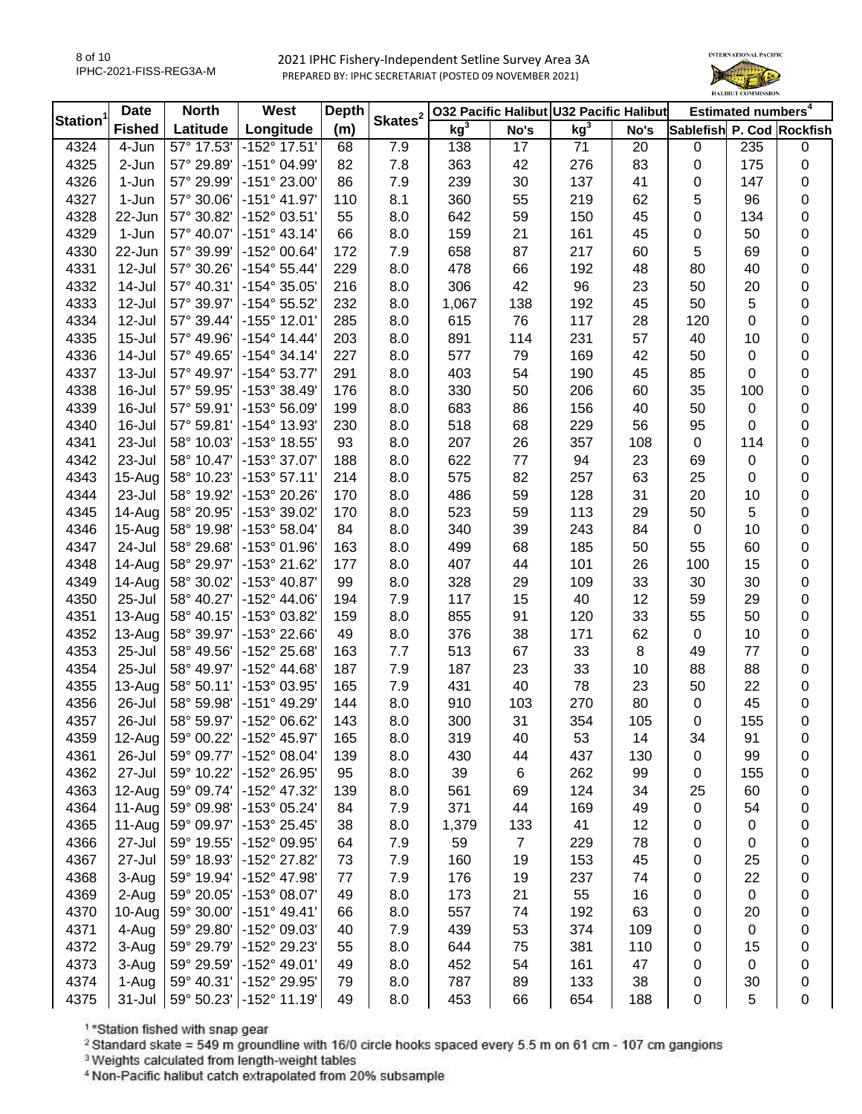8 of 10 IPHC-2021-FISS-REG3A-M



| <b>Station</b> | <b>Date</b>   | <b>North</b> | West                  | <b>Depth</b> | Skates <sup>2</sup> |                 |                | 032 Pacific Halibut U32 Pacific Halibut |      |                           | Estimated numbers <sup>4</sup> |                  |
|----------------|---------------|--------------|-----------------------|--------------|---------------------|-----------------|----------------|-----------------------------------------|------|---------------------------|--------------------------------|------------------|
|                | <b>Fished</b> | Latitude     | Longitude             | (m)          |                     | kg <sup>3</sup> | No's           | kg <sup>3</sup>                         | No's | Sablefish P. Cod Rockfish |                                |                  |
| 4324           | 4-Jun         | 57° 17.53'   | $-152^{\circ}$ 17.51' | 68           | 7.9                 | 138             | 17             | 71                                      | 20   | $\pmb{0}$                 | 235                            | 0                |
| 4325           | 2-Jun         | 57° 29.89'   | -151° 04.99'          | 82           | 7.8                 | 363             | 42             | 276                                     | 83   | $\pmb{0}$                 | 175                            | 0                |
| 4326           | 1-Jun         | 57° 29.99'   | -151° 23.00'          | 86           | 7.9                 | 239             | 30             | 137                                     | 41   | 0                         | 147                            | 0                |
| 4327           | $1-Jun$       | 57° 30.06'   | $-151^{\circ}$ 41.97' | 110          | 8.1                 | 360             | 55             | 219                                     | 62   | 5                         | 96                             | 0                |
| 4328           | 22-Jun        | 57° 30.82'   | -152° 03.51'          | 55           | 8.0                 | 642             | 59             | 150                                     | 45   | 0                         | 134                            | $\pmb{0}$        |
| 4329           | 1-Jun         | 57° 40.07'   | $-151^{\circ}$ 43.14' | 66           | 8.0                 | 159             | 21             | 161                                     | 45   | 0                         | 50                             | $\pmb{0}$        |
| 4330           | 22-Jun        | 57° 39.99'   | -152° 00.64'          | 172          | 7.9                 | 658             | 87             | 217                                     | 60   | 5                         | 69                             | 0                |
| 4331           | 12-Jul        | 57° 30.26'   | $-154^{\circ} 55.44'$ | 229          | 8.0                 | 478             | 66             | 192                                     | 48   | 80                        | 40                             | 0                |
| 4332           | 14-Jul        | 57° 40.31'   | -154° 35.05'          | 216          | 8.0                 | 306             | 42             | 96                                      | 23   | 50                        | 20                             | 0                |
| 4333           | 12-Jul        | 57° 39.97'   | -154° 55.52'          | 232          | 8.0                 | 1,067           | 138            | 192                                     | 45   | 50                        | 5                              | 0                |
| 4334           | 12-Jul        | 57° 39.44'   | -155° 12.01'          | 285          | 8.0                 | 615             | 76             | 117                                     | 28   | 120                       | $\pmb{0}$                      | $\boldsymbol{0}$ |
| 4335           | $15 -$ Jul    | 57° 49.96'   | $-154^{\circ}$ 14.44' | 203          | 8.0                 | 891             | 114            | 231                                     | 57   | 40                        | 10                             | $\pmb{0}$        |
| 4336           | 14-Jul        | 57° 49.65'   | $-154^{\circ}$ 34.14' | 227          | 8.0                 | 577             | 79             | 169                                     | 42   | 50                        | $\mathbf 0$                    | $\pmb{0}$        |
| 4337           | 13-Jul        | 57° 49.97'   | $-154^{\circ}53.77'$  | 291          | 8.0                 | 403             | 54             | 190                                     | 45   | 85                        | $\mathbf 0$                    | $\pmb{0}$        |
| 4338           | 16-Jul        | 57° 59.95'   | -153° 38.49'          | 176          | 8.0                 | 330             | 50             | 206                                     | 60   | 35                        | 100                            | $\pmb{0}$        |
| 4339           | 16-Jul        | 57° 59.91'   | -153° 56.09'          | 199          | 8.0                 | 683             | 86             | 156                                     | 40   | 50                        | $\boldsymbol{0}$               | $\mathbf 0$      |
| 4340           | 16-Jul        | 57° 59.81'   | -154° 13.93'          | 230          | 8.0                 | 518             | 68             | 229                                     | 56   | 95                        | 0                              | $\boldsymbol{0}$ |
| 4341           | 23-Jul        | 58° 10.03'   | -153° 18.55'          | 93           | 8.0                 | 207             | 26             | 357                                     | 108  | $\mathbf 0$               | 114                            | 0                |
| 4342           | 23-Jul        | 58° 10.47'   | -153° 37.07'          | 188          | 8.0                 | 622             | 77             | 94                                      | 23   | 69                        | $\boldsymbol{0}$               | 0                |
| 4343           | $15-Aug$      | 58° 10.23'   | $-153°57.11'$         | 214          | 8.0                 | 575             | 82             | 257                                     | 63   | 25                        | 0                              | $\boldsymbol{0}$ |
| 4344           | 23-Jul        | 58° 19.92'   | -153° 20.26'          | 170          | 8.0                 | 486             | 59             | 128                                     | 31   | 20                        | 10                             | $\pmb{0}$        |
| 4345           | 14-Aug        | 58° 20.95'   | -153° 39.02'          | 170          | 8.0                 | 523             | 59             | 113                                     | 29   | 50                        | 5                              | $\boldsymbol{0}$ |
| 4346           | 15-Aug        | 58° 19.98'   | -153° 58.04'          | 84           | 8.0                 | 340             | 39             | 243                                     | 84   | $\mathbf 0$               | 10                             | 0                |
| 4347           | 24-Jul        | 58° 29.68'   | -153° 01.96'          | 163          | 8.0                 | 499             | 68             | 185                                     | 50   | 55                        | 60                             | 0                |
| 4348           | 14-Aug        | 58° 29.97'   | -153° 21.62'          | 177          | 8.0                 | 407             | 44             | 101                                     | 26   | 100                       | 15                             | 0                |
| 4349           | 14-Aug        | 58° 30.02'   | -153° 40.87'          | 99           | 8.0                 | 328             | 29             | 109                                     | 33   | 30                        | 30                             | $\pmb{0}$        |
| 4350           | 25-Jul        | 58° 40.27'   | -152° 44.06'          | 194          | 7.9                 | 117             | 15             | 40                                      | 12   | 59                        | 29                             | $\pmb{0}$        |
| 4351           | $13-Auq$      | 58° 40.15'   | -153° 03.82'          | 159          | 8.0                 | 855             | 91             | 120                                     | 33   | 55                        | 50                             | $\pmb{0}$        |
| 4352           | 13-Aug        | 58° 39.97'   | -153° 22.66'          | 49           | 8.0                 | 376             | 38             | 171                                     | 62   | $\pmb{0}$                 | 10                             | $\pmb{0}$        |
| 4353           | 25-Jul        | 58° 49.56'   | -152° 25.68'          | 163          | 7.7                 | 513             | 67             | 33                                      | 8    | 49                        | 77                             | $\pmb{0}$        |
| 4354           | 25-Jul        | 58° 49.97'   | -152° 44.68'          | 187          | 7.9                 | 187             | 23             | 33                                      | 10   | 88                        | 88                             | $\pmb{0}$        |
| 4355           | 13-Aug        | 58° 50.11'   | -153° 03.95'          | 165          | 7.9                 | 431             | 40             | 78                                      | 23   | 50                        | 22                             | $\pmb{0}$        |
| 4356           | 26-Jul        | 58° 59.98'   | -151° 49.29'          | 144          | 8.0                 | 910             | 103            | 270                                     | 80   | $\pmb{0}$                 | 45                             | 0                |
| 4357           | 26-Jul        | 58° 59.97'   | -152° 06.62'          | 143          | 8.0                 | 300             | 31             | 354                                     | 105  | 0                         | 155                            | $\mathbf 0$      |
| 4359           | 12-Aug        | 59° 00.22'   | $-152^{\circ}$ 45.97  | 165          | 8.0                 | 319             | 40             | 53                                      | 14   | 34                        | 91                             | 0                |
| 4361           | 26-Jul        | 59° 09.77'   | -152° 08.04'          | 139          | 8.0                 | 430             | 44             | 437                                     | 130  | 0                         | 99                             | 0                |
| 4362           | 27-Jul        | 59° 10.22'   | -152° 26.95'          | 95           | 8.0                 | 39              | 6              | 262                                     | 99   | 0                         | 155                            | 0                |
| 4363           | $12-Aug$      | 59° 09.74'   | -152° 47.32'          | 139          | 8.0                 | 561             | 69             | 124                                     | 34   | 25                        | 60                             | 0                |
| 4364           | 11-Aug        | 59° 09.98'   | -153° 05.24'          | 84           | 7.9                 | 371             | 44             | 169                                     | 49   | 0                         | 54                             | 0                |
| 4365           | 11-Aug        | 59° 09.97'   | -153° 25.45'          | 38           | 8.0                 | 1,379           | 133            | 41                                      | 12   | 0                         | 0                              | 0                |
| 4366           | 27-Jul        | 59° 19.55'   | -152° 09.95'          | 64           | 7.9                 | 59              | $\overline{7}$ | 229                                     | 78   | 0                         | 0                              | 0                |
| 4367           | 27-Jul        | 59° 18.93'   | -152° 27.82'          | 73           | 7.9                 | 160             | 19             | 153                                     | 45   | 0                         | 25                             | 0                |
| 4368           | 3-Aug         | 59° 19.94'   | -152° 47.98'          | 77           | 7.9                 | 176             | 19             | 237                                     | 74   | 0                         | 22                             | 0                |
| 4369           | 2-Aug         | 59° 20.05'   | -153° 08.07'          | 49           | 8.0                 | 173             | 21             | 55                                      | 16   | 0                         | $\boldsymbol{0}$               | 0                |
| 4370           | 10-Aug        | 59° 30.00'   | $-151^{\circ}$ 49.41' | 66           | 8.0                 | 557             | 74             | 192                                     | 63   | 0                         | 20                             | 0                |
| 4371           | 4-Aug         | 59° 29.80'   | -152° 09.03'          | 40           | 7.9                 | 439             | 53             | 374                                     | 109  | 0                         | $\boldsymbol{0}$               | 0                |
| 4372           | 3-Aug         | 59° 29.79'   | -152° 29.23'          | 55           | 8.0                 | 644             | 75             | 381                                     | 110  | 0                         | 15                             | 0                |
| 4373           | 3-Aug         | 59° 29.59'   | -152° 49.01'          | 49           | 8.0                 | 452             | 54             | 161                                     | 47   | 0                         | $\mathbf 0$                    | 0                |
| 4374           | 1-Aug         | 59° 40.31'   | -152° 29.95'          | 79           | 8.0                 | 787             | 89             | 133                                     | 38   | 0                         | 30                             | 0                |
| 4375           | $31 -$ Jul    | 59° 50.23'   | $-152^{\circ}$ 11.19' | 49           | 8.0                 | 453             | 66             | 654                                     | 188  | 0                         | 5                              | 0                |

1\*Station fished with snap gear

<sup>2</sup> Standard skate = 549 m groundline with 16/0 circle hooks spaced every 5.5 m on 61 cm - 107 cm gangions

<sup>3</sup> Weights calculated from length-weight tables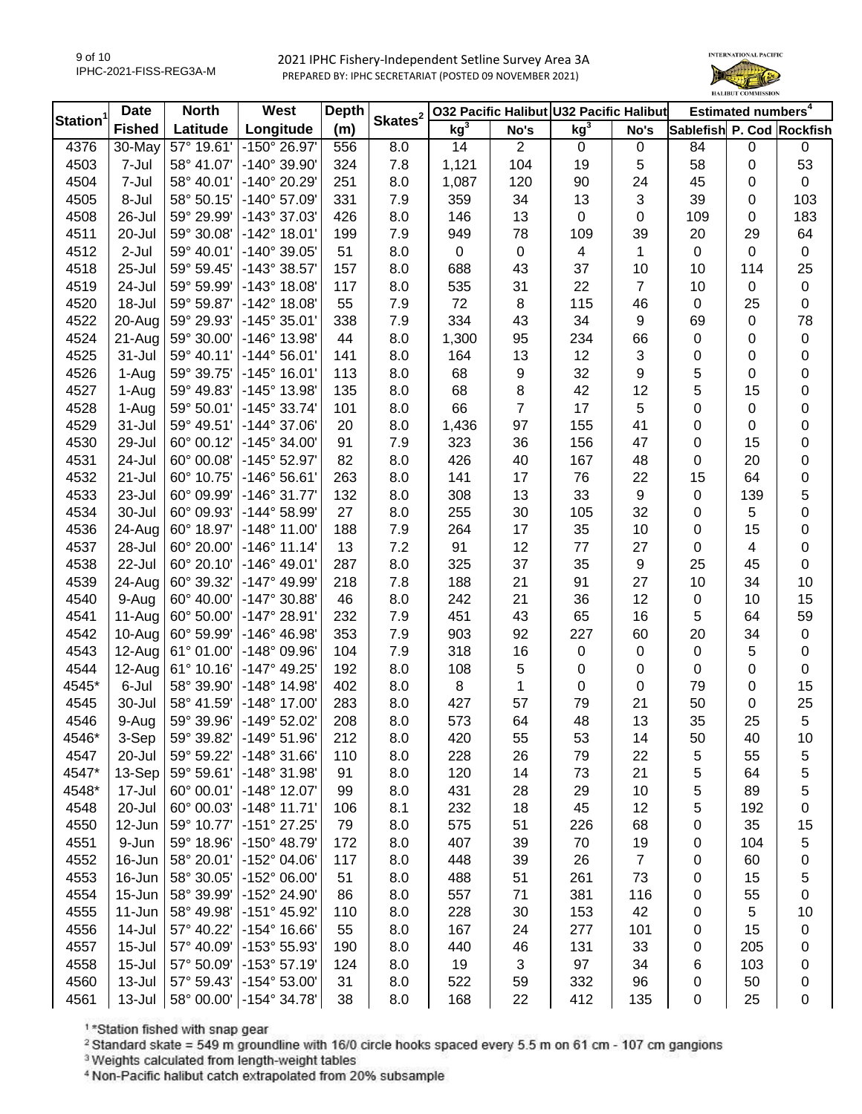

|                | <b>Date</b>   | <b>North</b> | West                  | Depth | Skates <sup>2</sup> |                 |                | 032 Pacific Halibut U32 Pacific Halibut |           |                           | Estimated numbers <sup>4</sup> |             |
|----------------|---------------|--------------|-----------------------|-------|---------------------|-----------------|----------------|-----------------------------------------|-----------|---------------------------|--------------------------------|-------------|
| <b>Station</b> | <b>Fished</b> | Latitude     | Longitude             | (m)   |                     | kg <sup>3</sup> | No's           | kg <sup>3</sup>                         | No's      | Sablefish P. Cod Rockfish |                                |             |
| 4376           | $30$ -May     | 57° 19.61'   | -150° 26.97'          | 556   | 8.0                 | 14              | $\overline{2}$ | $\mathbf 0$                             | 0         | 84                        | $\mathbf 0$                    | 0           |
| 4503           | 7-Jul         | 58° 41.07'   | -140° 39.90'          | 324   | 7.8                 | 1,121           | 104            | 19                                      | 5         | 58                        | $\mathbf 0$                    | 53          |
| 4504           | 7-Jul         | 58° 40.01'   | -140° 20.29'          | 251   | 8.0                 | 1,087           | 120            | 90                                      | 24        | 45                        | 0                              | $\mathbf 0$ |
| 4505           | 8-Jul         | 58° 50.15'   | -140° 57.09'          | 331   | 7.9                 | 359             | 34             | 13                                      | 3         | 39                        | $\mathbf 0$                    | 103         |
| 4508           | 26-Jul        | 59° 29.99'   | -143° 37.03'          | 426   | 8.0                 | 146             | 13             | $\mathbf 0$                             | 0         | 109                       | 0                              | 183         |
| 4511           | 20-Jul        | 59° 30.08'   | $-142^{\circ}$ 18.01' | 199   | 7.9                 | 949             | 78             | 109                                     | 39        | 20                        | 29                             | 64          |
| 4512           | 2-Jul         | 59° 40.01'   | -140° 39.05'          | 51    | 8.0                 | $\mathbf 0$     | $\mathbf 0$    | 4                                       | 1         | $\mathbf 0$               | 0                              | $\pmb{0}$   |
| 4518           | 25-Jul        | 59° 59.45'   | -143° 38.57'          | 157   | 8.0                 | 688             | 43             | 37                                      | 10        | 10                        | 114                            | 25          |
| 4519           | 24-Jul        | 59° 59.99'   | $-143°$ 18.08'        | 117   | 8.0                 | 535             | 31             | 22                                      | 7         | 10                        | $\mathbf 0$                    | $\pmb{0}$   |
| 4520           | 18-Jul        | 59° 59.87'   | $-142^{\circ}$ 18.08' | 55    | 7.9                 | 72              | 8              | 115                                     | 46        | 0                         | 25                             | 0           |
| 4522           | 20-Aug        | 59° 29.93'   | $-145°35.01'$         | 338   | 7.9                 | 334             | 43             | 34                                      | 9         | 69                        | $\mathbf 0$                    | 78          |
| 4524           | 21-Aug        | 59° 30.00'   | -146° 13.98'          | 44    | 8.0                 | 1,300           | 95             | 234                                     | 66        | 0                         | $\mathbf 0$                    | 0           |
| 4525           | 31-Jul        | 59° 40.11'   | $-144^{\circ} 56.01'$ | 141   | 8.0                 | 164             | 13             | 12                                      | 3         | 0                         | $\mathbf 0$                    | 0           |
| 4526           | 1-Aug         | 59° 39.75'   | $-145^{\circ}$ 16.01' | 113   | 8.0                 | 68              | 9              | 32                                      | 9         | 5                         | $\mathbf 0$                    | 0           |
| 4527           | 1-Aug         | 59° 49.83'   | -145° 13.98'          | 135   | 8.0                 | 68              | 8              | 42                                      | 12        | 5                         | 15                             | 0           |
| 4528           | 1-Aug         | 59° 50.01'   | $-145°33.74'$         | 101   | 8.0                 | 66              | $\overline{7}$ | 17                                      | 5         | 0                         | $\mathbf 0$                    | 0           |
| 4529           | 31-Jul        | 59° 49.51'   | $-144^{\circ}$ 37.06' | 20    | 8.0                 | 1,436           | 97             | 155                                     | 41        | 0                         | $\mathbf 0$                    | 0           |
| 4530           | 29-Jul        | 60° 00.12'   | $-145^{\circ}$ 34.00' | 91    | 7.9                 | 323             | 36             | 156                                     | 47        | 0                         | 15                             | 0           |
| 4531           | 24-Jul        | 60° 00.08'   | -145° 52.97'          | 82    | 8.0                 | 426             | 40             | 167                                     | 48        | 0                         | 20                             | 0           |
| 4532           | 21-Jul        | 60° 10.75'   | $-146°56.61'$         | 263   | 8.0                 | 141             | 17             | 76                                      | 22        | 15                        | 64                             | 0           |
| 4533           | 23-Jul        | 60° 09.99'   | $-146°31.77'$         | 132   | 8.0                 | 308             | 13             | 33                                      | 9         | 0                         | 139                            | 5           |
| 4534           | 30-Jul        | 60° 09.93'   | $-144^{\circ} 58.99'$ | 27    | 8.0                 | 255             | 30             | 105                                     | 32        | 0                         | 5                              | 0           |
| 4536           | 24-Aug        | 60° 18.97'   | $-148°11.00'$         | 188   | 7.9                 | 264             | 17             | 35                                      | 10        | 0                         | 15                             | 0           |
| 4537           | 28-Jul        | 60° 20.00'   | $-146°$ 11.14'        | 13    | 7.2                 | 91              | 12             | $77$                                    | 27        | 0                         | $\overline{4}$                 | $\pmb{0}$   |
| 4538           | 22-Jul        | 60° 20.10'   | $-146^{\circ}$ 49.01' | 287   | 8.0                 | 325             | 37             | 35                                      | 9         | 25                        | 45                             | $\pmb{0}$   |
| 4539           | 24-Aug        | 60° 39.32'   | -147° 49.99'          | 218   | 7.8                 | 188             | 21             | 91                                      | 27        | 10                        | 34                             | 10          |
| 4540           | 9-Aug         | 60° 40.00'   | $-147^{\circ}$ 30.88' | 46    | 8.0                 | 242             | 21             | 36                                      | 12        | 0                         | 10                             | 15          |
| 4541           | 11-Aug        | 60° 50.00'   | -147° 28.91'          | 232   | 7.9                 | 451             | 43             | 65                                      | 16        | 5                         | 64                             | 59          |
| 4542           | 10-Aug        | 60° 59.99'   | -146° 46.98'          | 353   | 7.9                 | 903             | 92             | 227                                     | 60        | 20                        | 34                             | $\pmb{0}$   |
| 4543           | 12-Aug        | 61° 01.00'   | -148° 09.96'          | 104   | 7.9                 | 318             | 16             | $\mathbf 0$                             | $\pmb{0}$ | 0                         | 5                              | $\pmb{0}$   |
| 4544           | 12-Aug        | 61° 10.16'   | $-147^{\circ}$ 49.25' | 192   | 8.0                 | 108             | 5              | 0                                       | 0         | 0                         | $\pmb{0}$                      | $\pmb{0}$   |
| 4545*          | 6-Jul         | 58° 39.90'   | $-148^\circ$ 14.98'   | 402   | 8.0                 | 8               | 1              | $\pmb{0}$                               | $\pmb{0}$ | 79                        | $\mathbf 0$                    | 15          |
| 4545           | 30-Jul        | 58° 41.59'   | $-148^\circ$ 17.00'   | 283   | 8.0                 | 427             | 57             | 79                                      | 21        | 50                        | $\mathbf 0$                    | 25          |
| 4546           | 9-Aug         | 59° 39.96'   | -149° 52.02'          | 208   | 8.0                 | 573             | 64             | 48                                      | 13        | 35                        | 25                             | 5           |
| 4546*          | 3-Sep         | 59° 39.82'   | $-149°51.96'$         | 212   | 8.0                 | 420             | 55             | 53                                      | 14        | 50                        | 40                             | 10          |
| 4547           | 20-Jul        | 59° 59.22'   | -148° 31.66'          | 110   | 8.0                 | 228             | 26             | 79                                      | 22        | 5                         | 55                             |             |
| 4547*          | 13-Sep        | 59° 59.61'   | -148° 31.98'          | 91    | 8.0                 | 120             | 14             | 73                                      | 21        |                           | 64                             | 5<br>5      |
| 4548*          | 17-Jul        | 60° 00.01'   | -148° 12.07'          | 99    | 8.0                 | 431             | 28             | 29                                      | 10        | 5                         | 89                             | 5           |
| 4548           | 20-Jul        | 60° 00.03'   | $-148°11.71'$         | 106   | 8.1                 | 232             | 18             | 45                                      | 12        | 5<br>5                    | 192                            | 0           |
| 4550           | 12-Jun        | 59° 10.77'   | -151° 27.25'          | 79    | 8.0                 | 575             | 51             | 226                                     | 68        |                           | 35                             |             |
|                |               | 59° 18.96'   | -150° 48.79'          |       |                     | 407             |                |                                         |           | 0                         |                                | 15          |
| 4551           | 9-Jun         |              |                       | 172   | 8.0                 |                 | 39             | 70                                      | 19        | 0                         | 104                            | 5           |
| 4552           | 16-Jun        | 58° 20.01'   | -152° 04.06'          | 117   | 8.0                 | 448             | 39             | 26                                      | 7         | 0                         | 60                             | 0           |
| 4553           | 16-Jun        | 58° 30.05'   | -152° 06.00'          | 51    | 8.0                 | 488             | 51             | 261                                     | 73        | 0                         | 15                             | 5           |
| 4554           | 15-Jun        | 58° 39.99'   | -152° 24.90'          | 86    | 8.0                 | 557             | 71             | 381                                     | 116       | 0                         | 55                             | 0           |
| 4555           | 11-Jun        | 58° 49.98'   | $-151^{\circ}$ 45.92' | 110   | 8.0                 | 228             | 30             | 153                                     | 42        | 0                         | 5                              | 10          |
| 4556           | 14-Jul        | 57° 40.22'   | $-154^{\circ}$ 16.66' | 55    | 8.0                 | 167             | 24             | 277                                     | 101       | 0                         | 15                             | 0           |
| 4557           | $15 -$ Jul    | 57° 40.09'   | -153° 55.93'          | 190   | 8.0                 | 440             | 46             | 131                                     | 33        | 0                         | 205                            | 0           |
| 4558           | $15 -$ Jul    | 57° 50.09'   | $-153^{\circ}57.19'$  | 124   | 8.0                 | 19              | 3              | 97                                      | 34        | 6                         | 103                            | 0           |
| 4560           | 13-Jul        | 57° 59.43'   | $-154^{\circ} 53.00'$ | 31    | 8.0                 | 522             | 59             | 332                                     | 96        | 0                         | 50                             | 0           |
| 4561           | 13-Jul        | 58° 00.00'   | $-154^{\circ}$ 34.78' | 38    | 8.0                 | 168             | 22             | 412                                     | 135       | 0                         | 25                             | 0           |

1\*Station fished with snap gear

<sup>2</sup> Standard skate = 549 m groundline with 16/0 circle hooks spaced every 5.5 m on 61 cm - 107 cm gangions

<sup>3</sup> Weights calculated from length-weight tables